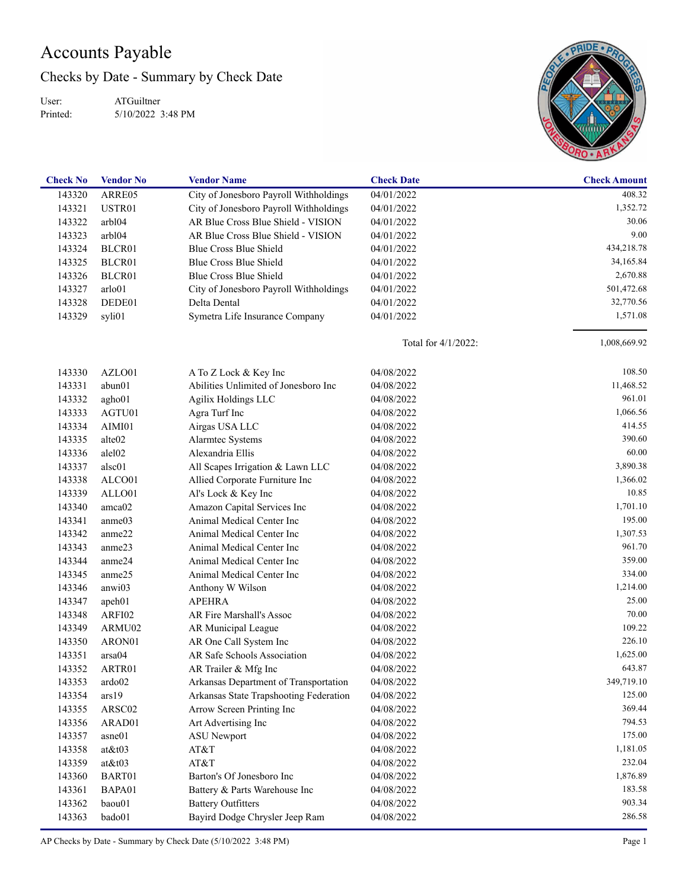## Accounts Payable

Checks by Date - Summary by Check Date

User: Printed: ATGuiltner 5/10/2022 3:48 PM



| 408.32<br>143320<br>ARRE05<br>City of Jonesboro Payroll Withholdings<br>04/01/2022<br>1,352.72<br>143321<br>USTR01<br>City of Jonesboro Payroll Withholdings<br>04/01/2022<br>AR Blue Cross Blue Shield - VISION<br>30.06<br>143322<br>arbl04<br>04/01/2022<br>AR Blue Cross Blue Shield - VISION<br>9.00<br>143323<br>arbl04<br>04/01/2022<br>Blue Cross Blue Shield<br>434,218.78<br>143324<br>BLCR01<br>04/01/2022<br>Blue Cross Blue Shield<br>143325<br>BLCR01<br>04/01/2022<br>34,165.84<br>Blue Cross Blue Shield<br>2,670.88<br>143326<br>BLCR01<br>04/01/2022<br>143327<br>arlo01<br>City of Jonesboro Payroll Withholdings<br>04/01/2022<br>501,472.68<br>143328<br>DEDE01<br>Delta Dental<br>04/01/2022<br>32,770.56<br>1,571.08<br>143329<br>syli01<br>Symetra Life Insurance Company<br>04/01/2022<br>1,008,669.92<br>Total for 4/1/2022:<br>108.50<br>143330<br>AZLO01<br>A To Z Lock & Key Inc<br>04/08/2022<br>11,468.52<br>143331<br>abun01<br>Abilities Unlimited of Jonesboro Inc<br>04/08/2022<br>961.01<br>143332<br>Agilix Holdings LLC<br>agho01<br>04/08/2022<br>1,066.56<br>143333<br>AGTU01<br>Agra Turf Inc<br>04/08/2022<br>414.55<br>143334<br>AIMI01<br>Airgas USA LLC<br>04/08/2022<br>390.60<br>143335<br>alte <sub>02</sub><br>Alarmtec Systems<br>04/08/2022<br>60.00<br>Alexandria Ellis<br>143336<br>alel <sub>02</sub><br>04/08/2022<br>3,890.38<br>143337<br>alsc01<br>All Scapes Irrigation & Lawn LLC<br>04/08/2022<br>1,366.02<br>143338<br>Allied Corporate Furniture Inc<br>ALCO01<br>04/08/2022<br>10.85<br>143339<br>ALLO01<br>Al's Lock & Key Inc<br>04/08/2022<br>1,701.10<br>143340<br>amca02<br>Amazon Capital Services Inc<br>04/08/2022<br>195.00<br>143341<br>anme03<br>Animal Medical Center Inc<br>04/08/2022<br>1,307.53<br>143342<br>anme22<br>Animal Medical Center Inc<br>04/08/2022<br>961.70<br>143343<br>anme23<br>Animal Medical Center Inc<br>04/08/2022<br>359.00<br>143344<br>anme24<br>Animal Medical Center Inc<br>04/08/2022<br>334.00<br>143345<br>anme25<br>Animal Medical Center Inc<br>04/08/2022<br>1,214.00<br>143346<br>anwi03<br>Anthony W Wilson<br>04/08/2022<br>25.00<br>143347<br><b>APEHRA</b><br>apeh01<br>04/08/2022<br>70.00<br>143348<br>ARFI02<br>AR Fire Marshall's Assoc<br>04/08/2022<br>109.22<br>143349<br>AR Municipal League<br>ARMU02<br>04/08/2022<br>226.10<br>143350<br>AR One Call System Inc<br>ARON01<br>04/08/2022<br>1,625.00<br>AR Safe Schools Association<br>143351<br>arsa04<br>04/08/2022<br>643.87<br>143352<br>ARTR01<br>04/08/2022<br>AR Trailer & Mfg Inc<br>349,719.10<br>143353<br>ardo02<br>Arkansas Department of Transportation<br>04/08/2022<br>125.00<br>143354<br>ars19<br>Arkansas State Trapshooting Federation<br>04/08/2022<br>369.44<br>Arrow Screen Printing Inc<br>143355<br>ARSC02<br>04/08/2022<br>794.53<br>143356<br>ARAD01<br>Art Advertising Inc<br>04/08/2022<br>175.00<br>143357<br>asne01<br><b>ASU</b> Newport<br>04/08/2022<br>1,181.05<br>143358<br>at&t03<br>AT&T<br>04/08/2022<br>232.04<br>143359<br>at&t03<br>AT&T<br>04/08/2022<br>1,876.89<br>Barton's Of Jonesboro Inc<br>143360<br>BART01<br>04/08/2022<br>183.58<br>143361<br>BAPA01<br>Battery & Parts Warehouse Inc<br>04/08/2022<br>903.34<br><b>Battery Outfitters</b><br>143362<br>baou01<br>04/08/2022<br>286.58<br>Bayird Dodge Chrysler Jeep Ram<br>143363<br>bado01<br>04/08/2022 | <b>Check No</b> | <b>Vendor No</b> | <b>Vendor Name</b> | <b>Check Date</b> | <b>Check Amount</b> |
|-----------------------------------------------------------------------------------------------------------------------------------------------------------------------------------------------------------------------------------------------------------------------------------------------------------------------------------------------------------------------------------------------------------------------------------------------------------------------------------------------------------------------------------------------------------------------------------------------------------------------------------------------------------------------------------------------------------------------------------------------------------------------------------------------------------------------------------------------------------------------------------------------------------------------------------------------------------------------------------------------------------------------------------------------------------------------------------------------------------------------------------------------------------------------------------------------------------------------------------------------------------------------------------------------------------------------------------------------------------------------------------------------------------------------------------------------------------------------------------------------------------------------------------------------------------------------------------------------------------------------------------------------------------------------------------------------------------------------------------------------------------------------------------------------------------------------------------------------------------------------------------------------------------------------------------------------------------------------------------------------------------------------------------------------------------------------------------------------------------------------------------------------------------------------------------------------------------------------------------------------------------------------------------------------------------------------------------------------------------------------------------------------------------------------------------------------------------------------------------------------------------------------------------------------------------------------------------------------------------------------------------------------------------------------------------------------------------------------------------------------------------------------------------------------------------------------------------------------------------------------------------------------------------------------------------------------------------------------------------------------------------------------------------------------------------------------------------------------------------------------------------------------------------------------------------------------------------------------------------------------------------------------------------------------------------------------------------------------------------------------------------------------|-----------------|------------------|--------------------|-------------------|---------------------|
|                                                                                                                                                                                                                                                                                                                                                                                                                                                                                                                                                                                                                                                                                                                                                                                                                                                                                                                                                                                                                                                                                                                                                                                                                                                                                                                                                                                                                                                                                                                                                                                                                                                                                                                                                                                                                                                                                                                                                                                                                                                                                                                                                                                                                                                                                                                                                                                                                                                                                                                                                                                                                                                                                                                                                                                                                                                                                                                                                                                                                                                                                                                                                                                                                                                                                                                                                                                               |                 |                  |                    |                   |                     |
|                                                                                                                                                                                                                                                                                                                                                                                                                                                                                                                                                                                                                                                                                                                                                                                                                                                                                                                                                                                                                                                                                                                                                                                                                                                                                                                                                                                                                                                                                                                                                                                                                                                                                                                                                                                                                                                                                                                                                                                                                                                                                                                                                                                                                                                                                                                                                                                                                                                                                                                                                                                                                                                                                                                                                                                                                                                                                                                                                                                                                                                                                                                                                                                                                                                                                                                                                                                               |                 |                  |                    |                   |                     |
|                                                                                                                                                                                                                                                                                                                                                                                                                                                                                                                                                                                                                                                                                                                                                                                                                                                                                                                                                                                                                                                                                                                                                                                                                                                                                                                                                                                                                                                                                                                                                                                                                                                                                                                                                                                                                                                                                                                                                                                                                                                                                                                                                                                                                                                                                                                                                                                                                                                                                                                                                                                                                                                                                                                                                                                                                                                                                                                                                                                                                                                                                                                                                                                                                                                                                                                                                                                               |                 |                  |                    |                   |                     |
|                                                                                                                                                                                                                                                                                                                                                                                                                                                                                                                                                                                                                                                                                                                                                                                                                                                                                                                                                                                                                                                                                                                                                                                                                                                                                                                                                                                                                                                                                                                                                                                                                                                                                                                                                                                                                                                                                                                                                                                                                                                                                                                                                                                                                                                                                                                                                                                                                                                                                                                                                                                                                                                                                                                                                                                                                                                                                                                                                                                                                                                                                                                                                                                                                                                                                                                                                                                               |                 |                  |                    |                   |                     |
|                                                                                                                                                                                                                                                                                                                                                                                                                                                                                                                                                                                                                                                                                                                                                                                                                                                                                                                                                                                                                                                                                                                                                                                                                                                                                                                                                                                                                                                                                                                                                                                                                                                                                                                                                                                                                                                                                                                                                                                                                                                                                                                                                                                                                                                                                                                                                                                                                                                                                                                                                                                                                                                                                                                                                                                                                                                                                                                                                                                                                                                                                                                                                                                                                                                                                                                                                                                               |                 |                  |                    |                   |                     |
|                                                                                                                                                                                                                                                                                                                                                                                                                                                                                                                                                                                                                                                                                                                                                                                                                                                                                                                                                                                                                                                                                                                                                                                                                                                                                                                                                                                                                                                                                                                                                                                                                                                                                                                                                                                                                                                                                                                                                                                                                                                                                                                                                                                                                                                                                                                                                                                                                                                                                                                                                                                                                                                                                                                                                                                                                                                                                                                                                                                                                                                                                                                                                                                                                                                                                                                                                                                               |                 |                  |                    |                   |                     |
|                                                                                                                                                                                                                                                                                                                                                                                                                                                                                                                                                                                                                                                                                                                                                                                                                                                                                                                                                                                                                                                                                                                                                                                                                                                                                                                                                                                                                                                                                                                                                                                                                                                                                                                                                                                                                                                                                                                                                                                                                                                                                                                                                                                                                                                                                                                                                                                                                                                                                                                                                                                                                                                                                                                                                                                                                                                                                                                                                                                                                                                                                                                                                                                                                                                                                                                                                                                               |                 |                  |                    |                   |                     |
|                                                                                                                                                                                                                                                                                                                                                                                                                                                                                                                                                                                                                                                                                                                                                                                                                                                                                                                                                                                                                                                                                                                                                                                                                                                                                                                                                                                                                                                                                                                                                                                                                                                                                                                                                                                                                                                                                                                                                                                                                                                                                                                                                                                                                                                                                                                                                                                                                                                                                                                                                                                                                                                                                                                                                                                                                                                                                                                                                                                                                                                                                                                                                                                                                                                                                                                                                                                               |                 |                  |                    |                   |                     |
|                                                                                                                                                                                                                                                                                                                                                                                                                                                                                                                                                                                                                                                                                                                                                                                                                                                                                                                                                                                                                                                                                                                                                                                                                                                                                                                                                                                                                                                                                                                                                                                                                                                                                                                                                                                                                                                                                                                                                                                                                                                                                                                                                                                                                                                                                                                                                                                                                                                                                                                                                                                                                                                                                                                                                                                                                                                                                                                                                                                                                                                                                                                                                                                                                                                                                                                                                                                               |                 |                  |                    |                   |                     |
|                                                                                                                                                                                                                                                                                                                                                                                                                                                                                                                                                                                                                                                                                                                                                                                                                                                                                                                                                                                                                                                                                                                                                                                                                                                                                                                                                                                                                                                                                                                                                                                                                                                                                                                                                                                                                                                                                                                                                                                                                                                                                                                                                                                                                                                                                                                                                                                                                                                                                                                                                                                                                                                                                                                                                                                                                                                                                                                                                                                                                                                                                                                                                                                                                                                                                                                                                                                               |                 |                  |                    |                   |                     |
|                                                                                                                                                                                                                                                                                                                                                                                                                                                                                                                                                                                                                                                                                                                                                                                                                                                                                                                                                                                                                                                                                                                                                                                                                                                                                                                                                                                                                                                                                                                                                                                                                                                                                                                                                                                                                                                                                                                                                                                                                                                                                                                                                                                                                                                                                                                                                                                                                                                                                                                                                                                                                                                                                                                                                                                                                                                                                                                                                                                                                                                                                                                                                                                                                                                                                                                                                                                               |                 |                  |                    |                   |                     |
|                                                                                                                                                                                                                                                                                                                                                                                                                                                                                                                                                                                                                                                                                                                                                                                                                                                                                                                                                                                                                                                                                                                                                                                                                                                                                                                                                                                                                                                                                                                                                                                                                                                                                                                                                                                                                                                                                                                                                                                                                                                                                                                                                                                                                                                                                                                                                                                                                                                                                                                                                                                                                                                                                                                                                                                                                                                                                                                                                                                                                                                                                                                                                                                                                                                                                                                                                                                               |                 |                  |                    |                   |                     |
|                                                                                                                                                                                                                                                                                                                                                                                                                                                                                                                                                                                                                                                                                                                                                                                                                                                                                                                                                                                                                                                                                                                                                                                                                                                                                                                                                                                                                                                                                                                                                                                                                                                                                                                                                                                                                                                                                                                                                                                                                                                                                                                                                                                                                                                                                                                                                                                                                                                                                                                                                                                                                                                                                                                                                                                                                                                                                                                                                                                                                                                                                                                                                                                                                                                                                                                                                                                               |                 |                  |                    |                   |                     |
|                                                                                                                                                                                                                                                                                                                                                                                                                                                                                                                                                                                                                                                                                                                                                                                                                                                                                                                                                                                                                                                                                                                                                                                                                                                                                                                                                                                                                                                                                                                                                                                                                                                                                                                                                                                                                                                                                                                                                                                                                                                                                                                                                                                                                                                                                                                                                                                                                                                                                                                                                                                                                                                                                                                                                                                                                                                                                                                                                                                                                                                                                                                                                                                                                                                                                                                                                                                               |                 |                  |                    |                   |                     |
|                                                                                                                                                                                                                                                                                                                                                                                                                                                                                                                                                                                                                                                                                                                                                                                                                                                                                                                                                                                                                                                                                                                                                                                                                                                                                                                                                                                                                                                                                                                                                                                                                                                                                                                                                                                                                                                                                                                                                                                                                                                                                                                                                                                                                                                                                                                                                                                                                                                                                                                                                                                                                                                                                                                                                                                                                                                                                                                                                                                                                                                                                                                                                                                                                                                                                                                                                                                               |                 |                  |                    |                   |                     |
|                                                                                                                                                                                                                                                                                                                                                                                                                                                                                                                                                                                                                                                                                                                                                                                                                                                                                                                                                                                                                                                                                                                                                                                                                                                                                                                                                                                                                                                                                                                                                                                                                                                                                                                                                                                                                                                                                                                                                                                                                                                                                                                                                                                                                                                                                                                                                                                                                                                                                                                                                                                                                                                                                                                                                                                                                                                                                                                                                                                                                                                                                                                                                                                                                                                                                                                                                                                               |                 |                  |                    |                   |                     |
|                                                                                                                                                                                                                                                                                                                                                                                                                                                                                                                                                                                                                                                                                                                                                                                                                                                                                                                                                                                                                                                                                                                                                                                                                                                                                                                                                                                                                                                                                                                                                                                                                                                                                                                                                                                                                                                                                                                                                                                                                                                                                                                                                                                                                                                                                                                                                                                                                                                                                                                                                                                                                                                                                                                                                                                                                                                                                                                                                                                                                                                                                                                                                                                                                                                                                                                                                                                               |                 |                  |                    |                   |                     |
|                                                                                                                                                                                                                                                                                                                                                                                                                                                                                                                                                                                                                                                                                                                                                                                                                                                                                                                                                                                                                                                                                                                                                                                                                                                                                                                                                                                                                                                                                                                                                                                                                                                                                                                                                                                                                                                                                                                                                                                                                                                                                                                                                                                                                                                                                                                                                                                                                                                                                                                                                                                                                                                                                                                                                                                                                                                                                                                                                                                                                                                                                                                                                                                                                                                                                                                                                                                               |                 |                  |                    |                   |                     |
|                                                                                                                                                                                                                                                                                                                                                                                                                                                                                                                                                                                                                                                                                                                                                                                                                                                                                                                                                                                                                                                                                                                                                                                                                                                                                                                                                                                                                                                                                                                                                                                                                                                                                                                                                                                                                                                                                                                                                                                                                                                                                                                                                                                                                                                                                                                                                                                                                                                                                                                                                                                                                                                                                                                                                                                                                                                                                                                                                                                                                                                                                                                                                                                                                                                                                                                                                                                               |                 |                  |                    |                   |                     |
|                                                                                                                                                                                                                                                                                                                                                                                                                                                                                                                                                                                                                                                                                                                                                                                                                                                                                                                                                                                                                                                                                                                                                                                                                                                                                                                                                                                                                                                                                                                                                                                                                                                                                                                                                                                                                                                                                                                                                                                                                                                                                                                                                                                                                                                                                                                                                                                                                                                                                                                                                                                                                                                                                                                                                                                                                                                                                                                                                                                                                                                                                                                                                                                                                                                                                                                                                                                               |                 |                  |                    |                   |                     |
|                                                                                                                                                                                                                                                                                                                                                                                                                                                                                                                                                                                                                                                                                                                                                                                                                                                                                                                                                                                                                                                                                                                                                                                                                                                                                                                                                                                                                                                                                                                                                                                                                                                                                                                                                                                                                                                                                                                                                                                                                                                                                                                                                                                                                                                                                                                                                                                                                                                                                                                                                                                                                                                                                                                                                                                                                                                                                                                                                                                                                                                                                                                                                                                                                                                                                                                                                                                               |                 |                  |                    |                   |                     |
|                                                                                                                                                                                                                                                                                                                                                                                                                                                                                                                                                                                                                                                                                                                                                                                                                                                                                                                                                                                                                                                                                                                                                                                                                                                                                                                                                                                                                                                                                                                                                                                                                                                                                                                                                                                                                                                                                                                                                                                                                                                                                                                                                                                                                                                                                                                                                                                                                                                                                                                                                                                                                                                                                                                                                                                                                                                                                                                                                                                                                                                                                                                                                                                                                                                                                                                                                                                               |                 |                  |                    |                   |                     |
|                                                                                                                                                                                                                                                                                                                                                                                                                                                                                                                                                                                                                                                                                                                                                                                                                                                                                                                                                                                                                                                                                                                                                                                                                                                                                                                                                                                                                                                                                                                                                                                                                                                                                                                                                                                                                                                                                                                                                                                                                                                                                                                                                                                                                                                                                                                                                                                                                                                                                                                                                                                                                                                                                                                                                                                                                                                                                                                                                                                                                                                                                                                                                                                                                                                                                                                                                                                               |                 |                  |                    |                   |                     |
|                                                                                                                                                                                                                                                                                                                                                                                                                                                                                                                                                                                                                                                                                                                                                                                                                                                                                                                                                                                                                                                                                                                                                                                                                                                                                                                                                                                                                                                                                                                                                                                                                                                                                                                                                                                                                                                                                                                                                                                                                                                                                                                                                                                                                                                                                                                                                                                                                                                                                                                                                                                                                                                                                                                                                                                                                                                                                                                                                                                                                                                                                                                                                                                                                                                                                                                                                                                               |                 |                  |                    |                   |                     |
|                                                                                                                                                                                                                                                                                                                                                                                                                                                                                                                                                                                                                                                                                                                                                                                                                                                                                                                                                                                                                                                                                                                                                                                                                                                                                                                                                                                                                                                                                                                                                                                                                                                                                                                                                                                                                                                                                                                                                                                                                                                                                                                                                                                                                                                                                                                                                                                                                                                                                                                                                                                                                                                                                                                                                                                                                                                                                                                                                                                                                                                                                                                                                                                                                                                                                                                                                                                               |                 |                  |                    |                   |                     |
|                                                                                                                                                                                                                                                                                                                                                                                                                                                                                                                                                                                                                                                                                                                                                                                                                                                                                                                                                                                                                                                                                                                                                                                                                                                                                                                                                                                                                                                                                                                                                                                                                                                                                                                                                                                                                                                                                                                                                                                                                                                                                                                                                                                                                                                                                                                                                                                                                                                                                                                                                                                                                                                                                                                                                                                                                                                                                                                                                                                                                                                                                                                                                                                                                                                                                                                                                                                               |                 |                  |                    |                   |                     |
|                                                                                                                                                                                                                                                                                                                                                                                                                                                                                                                                                                                                                                                                                                                                                                                                                                                                                                                                                                                                                                                                                                                                                                                                                                                                                                                                                                                                                                                                                                                                                                                                                                                                                                                                                                                                                                                                                                                                                                                                                                                                                                                                                                                                                                                                                                                                                                                                                                                                                                                                                                                                                                                                                                                                                                                                                                                                                                                                                                                                                                                                                                                                                                                                                                                                                                                                                                                               |                 |                  |                    |                   |                     |
|                                                                                                                                                                                                                                                                                                                                                                                                                                                                                                                                                                                                                                                                                                                                                                                                                                                                                                                                                                                                                                                                                                                                                                                                                                                                                                                                                                                                                                                                                                                                                                                                                                                                                                                                                                                                                                                                                                                                                                                                                                                                                                                                                                                                                                                                                                                                                                                                                                                                                                                                                                                                                                                                                                                                                                                                                                                                                                                                                                                                                                                                                                                                                                                                                                                                                                                                                                                               |                 |                  |                    |                   |                     |
|                                                                                                                                                                                                                                                                                                                                                                                                                                                                                                                                                                                                                                                                                                                                                                                                                                                                                                                                                                                                                                                                                                                                                                                                                                                                                                                                                                                                                                                                                                                                                                                                                                                                                                                                                                                                                                                                                                                                                                                                                                                                                                                                                                                                                                                                                                                                                                                                                                                                                                                                                                                                                                                                                                                                                                                                                                                                                                                                                                                                                                                                                                                                                                                                                                                                                                                                                                                               |                 |                  |                    |                   |                     |
|                                                                                                                                                                                                                                                                                                                                                                                                                                                                                                                                                                                                                                                                                                                                                                                                                                                                                                                                                                                                                                                                                                                                                                                                                                                                                                                                                                                                                                                                                                                                                                                                                                                                                                                                                                                                                                                                                                                                                                                                                                                                                                                                                                                                                                                                                                                                                                                                                                                                                                                                                                                                                                                                                                                                                                                                                                                                                                                                                                                                                                                                                                                                                                                                                                                                                                                                                                                               |                 |                  |                    |                   |                     |
|                                                                                                                                                                                                                                                                                                                                                                                                                                                                                                                                                                                                                                                                                                                                                                                                                                                                                                                                                                                                                                                                                                                                                                                                                                                                                                                                                                                                                                                                                                                                                                                                                                                                                                                                                                                                                                                                                                                                                                                                                                                                                                                                                                                                                                                                                                                                                                                                                                                                                                                                                                                                                                                                                                                                                                                                                                                                                                                                                                                                                                                                                                                                                                                                                                                                                                                                                                                               |                 |                  |                    |                   |                     |
|                                                                                                                                                                                                                                                                                                                                                                                                                                                                                                                                                                                                                                                                                                                                                                                                                                                                                                                                                                                                                                                                                                                                                                                                                                                                                                                                                                                                                                                                                                                                                                                                                                                                                                                                                                                                                                                                                                                                                                                                                                                                                                                                                                                                                                                                                                                                                                                                                                                                                                                                                                                                                                                                                                                                                                                                                                                                                                                                                                                                                                                                                                                                                                                                                                                                                                                                                                                               |                 |                  |                    |                   |                     |
|                                                                                                                                                                                                                                                                                                                                                                                                                                                                                                                                                                                                                                                                                                                                                                                                                                                                                                                                                                                                                                                                                                                                                                                                                                                                                                                                                                                                                                                                                                                                                                                                                                                                                                                                                                                                                                                                                                                                                                                                                                                                                                                                                                                                                                                                                                                                                                                                                                                                                                                                                                                                                                                                                                                                                                                                                                                                                                                                                                                                                                                                                                                                                                                                                                                                                                                                                                                               |                 |                  |                    |                   |                     |
|                                                                                                                                                                                                                                                                                                                                                                                                                                                                                                                                                                                                                                                                                                                                                                                                                                                                                                                                                                                                                                                                                                                                                                                                                                                                                                                                                                                                                                                                                                                                                                                                                                                                                                                                                                                                                                                                                                                                                                                                                                                                                                                                                                                                                                                                                                                                                                                                                                                                                                                                                                                                                                                                                                                                                                                                                                                                                                                                                                                                                                                                                                                                                                                                                                                                                                                                                                                               |                 |                  |                    |                   |                     |
|                                                                                                                                                                                                                                                                                                                                                                                                                                                                                                                                                                                                                                                                                                                                                                                                                                                                                                                                                                                                                                                                                                                                                                                                                                                                                                                                                                                                                                                                                                                                                                                                                                                                                                                                                                                                                                                                                                                                                                                                                                                                                                                                                                                                                                                                                                                                                                                                                                                                                                                                                                                                                                                                                                                                                                                                                                                                                                                                                                                                                                                                                                                                                                                                                                                                                                                                                                                               |                 |                  |                    |                   |                     |
|                                                                                                                                                                                                                                                                                                                                                                                                                                                                                                                                                                                                                                                                                                                                                                                                                                                                                                                                                                                                                                                                                                                                                                                                                                                                                                                                                                                                                                                                                                                                                                                                                                                                                                                                                                                                                                                                                                                                                                                                                                                                                                                                                                                                                                                                                                                                                                                                                                                                                                                                                                                                                                                                                                                                                                                                                                                                                                                                                                                                                                                                                                                                                                                                                                                                                                                                                                                               |                 |                  |                    |                   |                     |
|                                                                                                                                                                                                                                                                                                                                                                                                                                                                                                                                                                                                                                                                                                                                                                                                                                                                                                                                                                                                                                                                                                                                                                                                                                                                                                                                                                                                                                                                                                                                                                                                                                                                                                                                                                                                                                                                                                                                                                                                                                                                                                                                                                                                                                                                                                                                                                                                                                                                                                                                                                                                                                                                                                                                                                                                                                                                                                                                                                                                                                                                                                                                                                                                                                                                                                                                                                                               |                 |                  |                    |                   |                     |
|                                                                                                                                                                                                                                                                                                                                                                                                                                                                                                                                                                                                                                                                                                                                                                                                                                                                                                                                                                                                                                                                                                                                                                                                                                                                                                                                                                                                                                                                                                                                                                                                                                                                                                                                                                                                                                                                                                                                                                                                                                                                                                                                                                                                                                                                                                                                                                                                                                                                                                                                                                                                                                                                                                                                                                                                                                                                                                                                                                                                                                                                                                                                                                                                                                                                                                                                                                                               |                 |                  |                    |                   |                     |
|                                                                                                                                                                                                                                                                                                                                                                                                                                                                                                                                                                                                                                                                                                                                                                                                                                                                                                                                                                                                                                                                                                                                                                                                                                                                                                                                                                                                                                                                                                                                                                                                                                                                                                                                                                                                                                                                                                                                                                                                                                                                                                                                                                                                                                                                                                                                                                                                                                                                                                                                                                                                                                                                                                                                                                                                                                                                                                                                                                                                                                                                                                                                                                                                                                                                                                                                                                                               |                 |                  |                    |                   |                     |
|                                                                                                                                                                                                                                                                                                                                                                                                                                                                                                                                                                                                                                                                                                                                                                                                                                                                                                                                                                                                                                                                                                                                                                                                                                                                                                                                                                                                                                                                                                                                                                                                                                                                                                                                                                                                                                                                                                                                                                                                                                                                                                                                                                                                                                                                                                                                                                                                                                                                                                                                                                                                                                                                                                                                                                                                                                                                                                                                                                                                                                                                                                                                                                                                                                                                                                                                                                                               |                 |                  |                    |                   |                     |
|                                                                                                                                                                                                                                                                                                                                                                                                                                                                                                                                                                                                                                                                                                                                                                                                                                                                                                                                                                                                                                                                                                                                                                                                                                                                                                                                                                                                                                                                                                                                                                                                                                                                                                                                                                                                                                                                                                                                                                                                                                                                                                                                                                                                                                                                                                                                                                                                                                                                                                                                                                                                                                                                                                                                                                                                                                                                                                                                                                                                                                                                                                                                                                                                                                                                                                                                                                                               |                 |                  |                    |                   |                     |
|                                                                                                                                                                                                                                                                                                                                                                                                                                                                                                                                                                                                                                                                                                                                                                                                                                                                                                                                                                                                                                                                                                                                                                                                                                                                                                                                                                                                                                                                                                                                                                                                                                                                                                                                                                                                                                                                                                                                                                                                                                                                                                                                                                                                                                                                                                                                                                                                                                                                                                                                                                                                                                                                                                                                                                                                                                                                                                                                                                                                                                                                                                                                                                                                                                                                                                                                                                                               |                 |                  |                    |                   |                     |
|                                                                                                                                                                                                                                                                                                                                                                                                                                                                                                                                                                                                                                                                                                                                                                                                                                                                                                                                                                                                                                                                                                                                                                                                                                                                                                                                                                                                                                                                                                                                                                                                                                                                                                                                                                                                                                                                                                                                                                                                                                                                                                                                                                                                                                                                                                                                                                                                                                                                                                                                                                                                                                                                                                                                                                                                                                                                                                                                                                                                                                                                                                                                                                                                                                                                                                                                                                                               |                 |                  |                    |                   |                     |
|                                                                                                                                                                                                                                                                                                                                                                                                                                                                                                                                                                                                                                                                                                                                                                                                                                                                                                                                                                                                                                                                                                                                                                                                                                                                                                                                                                                                                                                                                                                                                                                                                                                                                                                                                                                                                                                                                                                                                                                                                                                                                                                                                                                                                                                                                                                                                                                                                                                                                                                                                                                                                                                                                                                                                                                                                                                                                                                                                                                                                                                                                                                                                                                                                                                                                                                                                                                               |                 |                  |                    |                   |                     |
|                                                                                                                                                                                                                                                                                                                                                                                                                                                                                                                                                                                                                                                                                                                                                                                                                                                                                                                                                                                                                                                                                                                                                                                                                                                                                                                                                                                                                                                                                                                                                                                                                                                                                                                                                                                                                                                                                                                                                                                                                                                                                                                                                                                                                                                                                                                                                                                                                                                                                                                                                                                                                                                                                                                                                                                                                                                                                                                                                                                                                                                                                                                                                                                                                                                                                                                                                                                               |                 |                  |                    |                   |                     |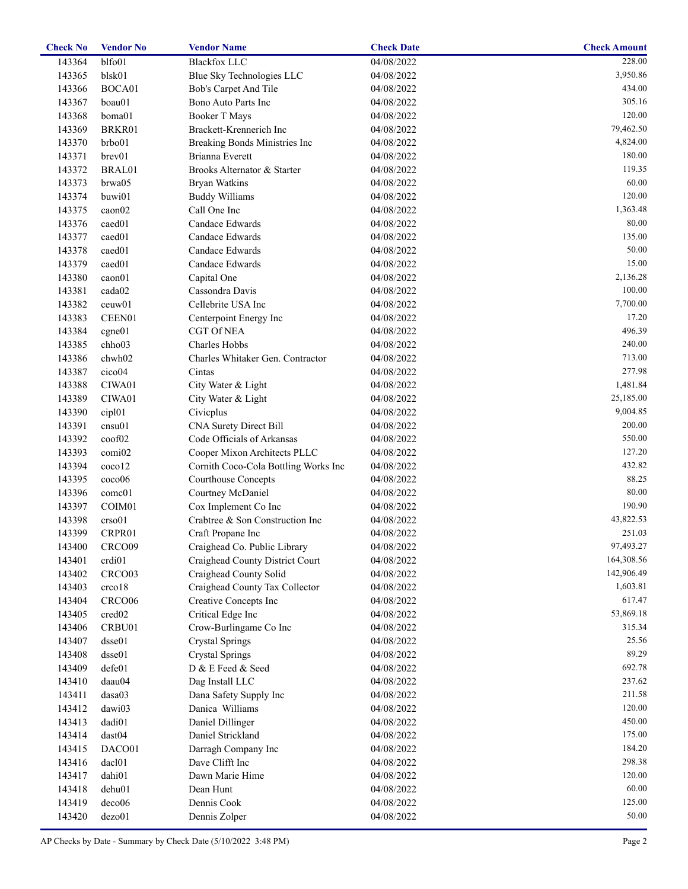| <b>Check No</b> | <b>Vendor No</b>   | <b>Vendor Name</b>                   | <b>Check Date</b> | <b>Check Amount</b> |
|-----------------|--------------------|--------------------------------------|-------------------|---------------------|
| 143364          | blfo01             | <b>Blackfox LLC</b>                  | 04/08/2022        | 228.00              |
| 143365          | blsk01             | Blue Sky Technologies LLC            | 04/08/2022        | 3,950.86            |
| 143366          | BOCA01             | Bob's Carpet And Tile                | 04/08/2022        | 434.00              |
| 143367          | boau01             | Bono Auto Parts Inc                  | 04/08/2022        | 305.16              |
| 143368          | boma01             | <b>Booker T Mays</b>                 | 04/08/2022        | 120.00              |
| 143369          | BRKR01             | Brackett-Krennerich Inc              | 04/08/2022        | 79,462.50           |
| 143370          | brbo01             | Breaking Bonds Ministries Inc        | 04/08/2022        | 4,824.00            |
| 143371          | brev01             | Brianna Everett                      | 04/08/2022        | 180.00              |
| 143372          | BRAL01             | Brooks Alternator & Starter          | 04/08/2022        | 119.35              |
| 143373          | brwa05             | <b>Bryan Watkins</b>                 | 04/08/2022        | 60.00               |
| 143374          | buwi01             | <b>Buddy Williams</b>                | 04/08/2022        | 120.00              |
| 143375          | caon02             | Call One Inc                         | 04/08/2022        | 1,363.48            |
| 143376          | caed01             | Candace Edwards                      | 04/08/2022        | 80.00               |
| 143377          | caed01             | Candace Edwards                      | 04/08/2022        | 135.00              |
| 143378          | caed01             | Candace Edwards                      | 04/08/2022        | 50.00               |
| 143379          | caed01             | Candace Edwards                      | 04/08/2022        | 15.00               |
| 143380          | caon01             | Capital One                          | 04/08/2022        | 2,136.28            |
|                 |                    | Cassondra Davis                      |                   | 100.00              |
| 143381          | cada02             |                                      | 04/08/2022        | 7,700.00            |
| 143382          | ceuw01             | Cellebrite USA Inc                   | 04/08/2022        |                     |
| 143383          | CEEN01             | Centerpoint Energy Inc               | 04/08/2022        | 17.20               |
| 143384          | cgne01             | <b>CGT Of NEA</b>                    | 04/08/2022        | 496.39              |
| 143385          | chho03             | Charles Hobbs                        | 04/08/2022        | 240.00              |
| 143386          | chwh02             | Charles Whitaker Gen. Contractor     | 04/08/2022        | 713.00              |
| 143387          | cico04             | Cintas                               | 04/08/2022        | 277.98              |
| 143388          | CIWA01             | City Water & Light                   | 04/08/2022        | 1,481.84            |
| 143389          | CIWA01             | City Water & Light                   | 04/08/2022        | 25,185.00           |
| 143390          | cip101             | Civicplus                            | 04/08/2022        | 9,004.85            |
| 143391          | cnsu01             | CNA Surety Direct Bill               | 04/08/2022        | 200.00              |
| 143392          | coof02             | Code Officials of Arkansas           | 04/08/2022        | 550.00              |
| 143393          | comi02             | Cooper Mixon Architects PLLC         | 04/08/2022        | 127.20              |
| 143394          | coco12             | Cornith Coco-Cola Bottling Works Inc | 04/08/2022        | 432.82              |
| 143395          | coco06             | <b>Courthouse Concepts</b>           | 04/08/2022        | 88.25               |
| 143396          | comc01             | Courtney McDaniel                    | 04/08/2022        | 80.00               |
| 143397          | COIM01             | Cox Implement Co Inc                 | 04/08/2022        | 190.90              |
| 143398          | crso01             | Crabtree & Son Construction Inc      | 04/08/2022        | 43,822.53           |
| 143399          | CRPR01             | Craft Propane Inc                    | 04/08/2022        | 251.03              |
| 143400          | CRCO09             | Craighead Co. Public Library         | 04/08/2022        | 97,493.27           |
| 143401          | crdi <sub>01</sub> | Craighead County District Court      | 04/08/2022        | 164,308.56          |
| 143402          | CRCO <sub>03</sub> | Craighead County Solid               | 04/08/2022        | 142,906.49          |
| 143403          | crco18             | Craighead County Tax Collector       | 04/08/2022        | 1,603.81            |
| 143404          | CRCO06             | Creative Concepts Inc                | 04/08/2022        | 617.47              |
| 143405          | cred <sub>02</sub> | Critical Edge Inc                    | 04/08/2022        | 53,869.18           |
| 143406          | CRBU01             | Crow-Burlingame Co Inc               | 04/08/2022        | 315.34              |
| 143407          | dsse01             | <b>Crystal Springs</b>               | 04/08/2022        | 25.56               |
| 143408          | dsse01             | <b>Crystal Springs</b>               | 04/08/2022        | 89.29               |
| 143409          | defe01             | D & E Feed & Seed                    | 04/08/2022        | 692.78              |
| 143410          | daau04             | Dag Install LLC                      | 04/08/2022        | 237.62              |
| 143411          | dasa03             | Dana Safety Supply Inc               | 04/08/2022        | 211.58              |
|                 |                    | Danica Williams                      |                   | 120.00              |
| 143412          | dawi03             |                                      | 04/08/2022        | 450.00              |
| 143413          | dadi01             | Daniel Dillinger                     | 04/08/2022        |                     |
| 143414          | dast04             | Daniel Strickland                    | 04/08/2022        | 175.00              |
| 143415          | DACO01             | Darragh Company Inc                  | 04/08/2022        | 184.20              |
| 143416          | dac101             | Dave Clifft Inc                      | 04/08/2022        | 298.38              |
| 143417          | dahi01             | Dawn Marie Hime                      | 04/08/2022        | 120.00              |
| 143418          | dehu01             | Dean Hunt                            | 04/08/2022        | 60.00               |
| 143419          | deco06             | Dennis Cook                          | 04/08/2022        | 125.00              |
| 143420          | dezo01             | Dennis Zolper                        | 04/08/2022        | 50.00               |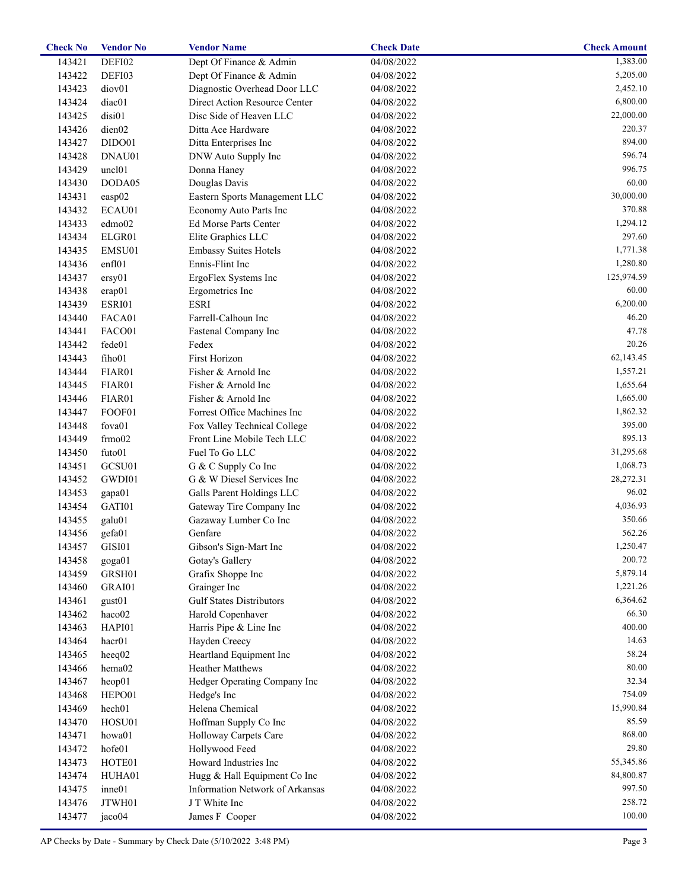| <b>Check No</b> | <b>Vendor No</b>   | <b>Vendor Name</b>              | <b>Check Date</b>   | <b>Check Amount</b> |
|-----------------|--------------------|---------------------------------|---------------------|---------------------|
| 143421          | DEFI02             | Dept Of Finance & Admin         | $\sqrt{04}/08/2022$ | 1,383.00            |
| 143422          | DEFI03             | Dept Of Finance & Admin         | 04/08/2022          | 5,205.00            |
| 143423          | diov <sub>01</sub> | Diagnostic Overhead Door LLC    | 04/08/2022          | 2,452.10            |
| 143424          | diac01             | Direct Action Resource Center   | 04/08/2022          | 6,800.00            |
| 143425          | disi01             | Disc Side of Heaven LLC         | 04/08/2022          | 22,000.00           |
| 143426          | dien02             | Ditta Ace Hardware              | 04/08/2022          | 220.37              |
| 143427          | DIDO01             | Ditta Enterprises Inc           | 04/08/2022          | 894.00              |
| 143428          | DNAU01             | DNW Auto Supply Inc             | 04/08/2022          | 596.74              |
| 143429          | uncl <sub>01</sub> | Donna Haney                     | 04/08/2022          | 996.75              |
| 143430          | DODA05             | Douglas Davis                   | 04/08/2022          | 60.00               |
| 143431          | easp02             | Eastern Sports Management LLC   | 04/08/2022          | 30,000.00           |
| 143432          | ECAU01             | Economy Auto Parts Inc          | 04/08/2022          | 370.88              |
| 143433          | edmo02             | Ed Morse Parts Center           | 04/08/2022          | 1,294.12            |
| 143434          | ELGR01             | Elite Graphics LLC              | 04/08/2022          | 297.60              |
| 143435          | EMSU01             | <b>Embassy Suites Hotels</b>    | 04/08/2022          | 1,771.38            |
| 143436          | enfl01             | Ennis-Flint Inc                 | 04/08/2022          | 1,280.80            |
| 143437          | ersy01             | ErgoFlex Systems Inc            | 04/08/2022          | 125,974.59          |
| 143438          |                    |                                 |                     | 60.00               |
|                 | erap01             | Ergometrics Inc                 | 04/08/2022          | 6,200.00            |
| 143439          | ESRI01             | <b>ESRI</b>                     | 04/08/2022          |                     |
| 143440          | FACA01             | Farrell-Calhoun Inc             | 04/08/2022          | 46.20               |
| 143441          | FACO01             | Fastenal Company Inc            | 04/08/2022          | 47.78               |
| 143442          | fede01             | Fedex                           | 04/08/2022          | 20.26               |
| 143443          | fiho01             | First Horizon                   | 04/08/2022          | 62,143.45           |
| 143444          | FIAR01             | Fisher & Arnold Inc             | 04/08/2022          | 1,557.21            |
| 143445          | FIAR01             | Fisher & Arnold Inc             | 04/08/2022          | 1,655.64            |
| 143446          | FIAR01             | Fisher & Arnold Inc             | 04/08/2022          | 1,665.00            |
| 143447          | FOOF01             | Forrest Office Machines Inc     | 04/08/2022          | 1,862.32            |
| 143448          | fova01             | Fox Valley Technical College    | 04/08/2022          | 395.00              |
| 143449          | frmo02             | Front Line Mobile Tech LLC      | 04/08/2022          | 895.13              |
| 143450          | futo01             | Fuel To Go LLC                  | 04/08/2022          | 31,295.68           |
| 143451          | GCSU01             | G & C Supply Co Inc             | 04/08/2022          | 1,068.73            |
| 143452          | GWDI01             | G & W Diesel Services Inc       | 04/08/2022          | 28,272.31           |
| 143453          | gapa01             | Galls Parent Holdings LLC       | 04/08/2022          | 96.02               |
| 143454          | GATI01             | Gateway Tire Company Inc        | 04/08/2022          | 4,036.93            |
| 143455          | galu01             | Gazaway Lumber Co Inc           | 04/08/2022          | 350.66              |
| 143456          | gefa01             | Genfare                         | 04/08/2022          | 562.26              |
| 143457          | GISI01             | Gibson's Sign-Mart Inc          | 04/08/2022          | 1,250.47            |
| 143458          | goga01             | Gotay's Gallery                 | 04/08/2022          | 200.72              |
| 143459          | GRSH01             | Grafix Shoppe Inc               | 04/08/2022          | 5,879.14            |
| 143460          | GRAI01             | Grainger Inc                    | 04/08/2022          | 1,221.26            |
| 143461          | gust01             | <b>Gulf States Distributors</b> | 04/08/2022          | 6,364.62            |
| 143462          | haco02             | Harold Copenhaver               | 04/08/2022          | 66.30               |
| 143463          | HAPI01             | Harris Pipe & Line Inc          | 04/08/2022          | 400.00              |
| 143464          | hacr <sub>01</sub> | Hayden Creecy                   | 04/08/2022          | 14.63               |
| 143465          | heeq02             | Heartland Equipment Inc         | 04/08/2022          | 58.24               |
| 143466          | hema02             | Heather Matthews                | 04/08/2022          | 80.00               |
| 143467          | heop01             | Hedger Operating Company Inc    | 04/08/2022          | 32.34               |
| 143468          | HEPO01             | Hedge's Inc                     | 04/08/2022          | 754.09              |
| 143469          | hech01             | Helena Chemical                 | 04/08/2022          | 15,990.84           |
| 143470          | HOSU01             | Hoffman Supply Co Inc           | 04/08/2022          | 85.59               |
|                 |                    |                                 |                     | 868.00              |
| 143471          | howa01             | Holloway Carpets Care           | 04/08/2022          |                     |
| 143472          | hofe01             | Hollywood Feed                  | 04/08/2022          | 29.80               |
| 143473          | HOTE01             | Howard Industries Inc           | 04/08/2022          | 55,345.86           |
| 143474          | HUHA01             | Hugg & Hall Equipment Co Inc    | 04/08/2022          | 84,800.87           |
| 143475          | inne01             | Information Network of Arkansas | 04/08/2022          | 997.50              |
| 143476          | JTWH01             | J T White Inc                   | 04/08/2022          | 258.72              |
| 143477          | jaco04             | James F Cooper                  | 04/08/2022          | 100.00              |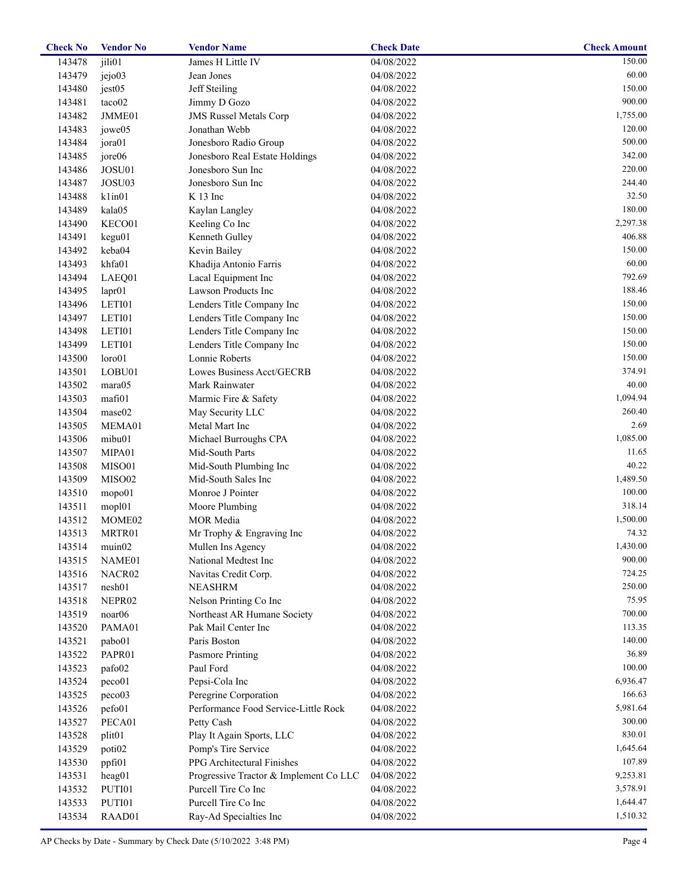| <b>Check No</b> | <b>Vendor No</b>   | <b>Vendor Name</b>                     | <b>Check Date</b> | <b>Check Amount</b> |
|-----------------|--------------------|----------------------------------------|-------------------|---------------------|
| 143478          | jili01             | James H Little IV                      | 04/08/2022        | 150.00              |
| 143479          | jejo03             | Jean Jones                             | 04/08/2022        | 60.00               |
| 143480          | jest05             | Jeff Steiling                          | 04/08/2022        | 150.00              |
| 143481          | taco02             | Jimmy D Gozo                           | 04/08/2022        | 900.00              |
| 143482          | JMME01             | <b>JMS Russel Metals Corp</b>          | 04/08/2022        | 1,755.00            |
| 143483          | jowe05             | Jonathan Webb                          | 04/08/2022        | 120.00              |
| 143484          | jora01             | Jonesboro Radio Group                  | 04/08/2022        | 500.00              |
| 143485          | jore06             | Jonesboro Real Estate Holdings         | 04/08/2022        | 342.00              |
| 143486          | JOSU01             | Jonesboro Sun Inc                      | 04/08/2022        | 220.00              |
| 143487          | JOSU03             | Jonesboro Sun Inc                      | 04/08/2022        | 244.40              |
| 143488          | klim01             | $K$ 13 Inc                             | 04/08/2022        | 32.50               |
| 143489          | kala05             | Kaylan Langley                         | 04/08/2022        | 180.00              |
| 143490          | KECO01             | Keeling Co Inc                         | 04/08/2022        | 2,297.38            |
| 143491          | kegu01             | Kenneth Gulley                         | 04/08/2022        | 406.88              |
| 143492          | keba04             | Kevin Bailey                           | 04/08/2022        | 150.00              |
| 143493          | khfa01             | Khadija Antonio Farris                 | 04/08/2022        | 60.00               |
| 143494          | LAEQ01             | Lacal Equipment Inc                    | 04/08/2022        | 792.69              |
| 143495          | lapr01             | Lawson Products Inc                    | 04/08/2022        | 188.46              |
| 143496          | LETI01             | Lenders Title Company Inc              | 04/08/2022        | 150.00              |
| 143497          | LETI01             | Lenders Title Company Inc              | 04/08/2022        | 150.00              |
| 143498          | LETI01             | Lenders Title Company Inc              | 04/08/2022        | 150.00              |
| 143499          | LETI01             | Lenders Title Company Inc              | 04/08/2022        | 150.00              |
| 143500          | loro01             | Lonnie Roberts                         | 04/08/2022        | 150.00              |
| 143501          | LOBU01             | Lowes Business Acct/GECRB              | 04/08/2022        | 374.91              |
| 143502          | mara05             | Mark Rainwater                         | 04/08/2022        | 40.00               |
|                 | mafi01             |                                        |                   | 1,094.94            |
| 143503          | mase02             | Marmic Fire & Safety                   | 04/08/2022        | 260.40              |
| 143504          |                    | May Security LLC                       | 04/08/2022        | 2.69                |
| 143505          | MEMA01             | Metal Mart Inc                         | 04/08/2022        |                     |
| 143506          | mibu01             | Michael Burroughs CPA                  | 04/08/2022        | 1,085.00            |
| 143507          | MIPA01             | Mid-South Parts                        | 04/08/2022        | 11.65               |
| 143508          | MISO01             | Mid-South Plumbing Inc                 | 04/08/2022        | 40.22               |
| 143509          | MISO02             | Mid-South Sales Inc                    | 04/08/2022        | 1,489.50            |
| 143510          | mopo01             | Monroe J Pointer                       | 04/08/2022        | 100.00              |
| 143511          | mopl01             | Moore Plumbing                         | 04/08/2022        | 318.14              |
| 143512          | MOME <sub>02</sub> | MOR Media                              | 04/08/2022        | 1,500.00            |
| 143513          | MRTR01             | Mr Trophy & Engraving Inc              | 04/08/2022        | 74.32               |
| 143514          | muin02             | Mullen Ins Agency                      | 04/08/2022        | 1,430.00            |
| 143515          | NAME01             | National Medtest Inc                   | 04/08/2022        | 900.00              |
| 143516          | NACR02             | Navitas Credit Corp.                   | 04/08/2022        | 724.25              |
| 143517          | nesh01             | <b>NEASHRM</b>                         | 04/08/2022        | 250.00              |
| 143518          | NEPR02             | Nelson Printing Co Inc                 | 04/08/2022        | 75.95               |
| 143519          | noar <sub>06</sub> | Northeast AR Humane Society            | 04/08/2022        | 700.00              |
| 143520          | PAMA01             | Pak Mail Center Inc                    | 04/08/2022        | 113.35              |
| 143521          | pabo01             | Paris Boston                           | 04/08/2022        | 140.00              |
| 143522          | PAPR01             | <b>Pasmore Printing</b>                | 04/08/2022        | 36.89               |
| 143523          | pafo02             | Paul Ford                              | 04/08/2022        | 100.00              |
| 143524          | peco01             | Pepsi-Cola Inc                         | 04/08/2022        | 6,936.47            |
| 143525          | peco03             | Peregrine Corporation                  | 04/08/2022        | 166.63              |
| 143526          | pefo01             | Performance Food Service-Little Rock   | 04/08/2022        | 5,981.64            |
| 143527          | PECA01             | Petty Cash                             | 04/08/2022        | 300.00              |
| 143528          | plit <sub>01</sub> | Play It Again Sports, LLC              | 04/08/2022        | 830.01              |
| 143529          | poti <sub>02</sub> | Pomp's Tire Service                    | 04/08/2022        | 1,645.64            |
| 143530          | ppfi01             | PPG Architectural Finishes             | 04/08/2022        | 107.89              |
| 143531          | heag01             | Progressive Tractor & Implement Co LLC | 04/08/2022        | 9,253.81            |
| 143532          | PUTI01             | Purcell Tire Co Inc                    | 04/08/2022        | 3,578.91            |
| 143533          | PUTI01             | Purcell Tire Co Inc                    | 04/08/2022        | 1,644.47            |
| 143534          | RAAD01             | Ray-Ad Specialties Inc                 | 04/08/2022        | 1,510.32            |
|                 |                    |                                        |                   |                     |

AP Checks by Date - Summary by Check Date (5/10/2022 3:48 PM)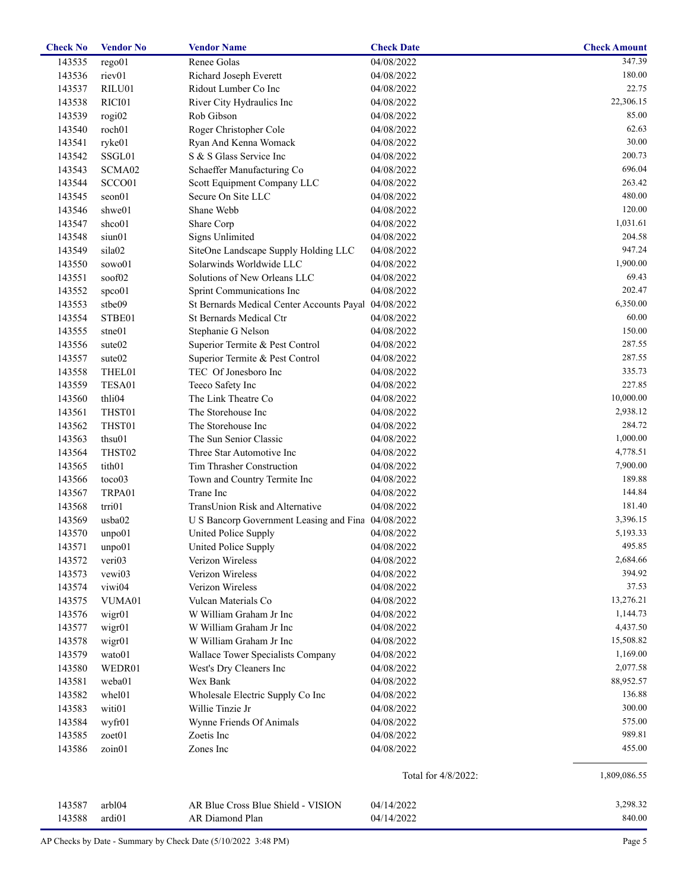| <b>Check No</b> | <b>Vendor No</b>   | <b>Vendor Name</b>                                 | <b>Check Date</b>   | <b>Check Amount</b> |
|-----------------|--------------------|----------------------------------------------------|---------------------|---------------------|
| 143535          | rego01             | Renee Golas                                        | 04/08/2022          | 347.39              |
| 143536          | riev01             | Richard Joseph Everett                             | 04/08/2022          | 180.00              |
| 143537          | RILU01             | Ridout Lumber Co Inc                               | 04/08/2022          | 22.75               |
| 143538          | RICI01             | River City Hydraulics Inc                          | 04/08/2022          | 22,306.15           |
| 143539          | rogi02             | Rob Gibson                                         | 04/08/2022          | 85.00               |
| 143540          | roch01             | Roger Christopher Cole                             | 04/08/2022          | 62.63               |
| 143541          | ryke01             | Ryan And Kenna Womack                              | 04/08/2022          | 30.00               |
| 143542          | SSGL01             | S & S Glass Service Inc                            | 04/08/2022          | 200.73              |
| 143543          | SCMA02             | Schaeffer Manufacturing Co                         | 04/08/2022          | 696.04              |
| 143544          | SCCO01             | Scott Equipment Company LLC                        | 04/08/2022          | 263.42              |
| 143545          | seon01             | Secure On Site LLC                                 | 04/08/2022          | 480.00              |
| 143546          | shwe01             | Shane Webb                                         | 04/08/2022          | 120.00              |
| 143547          | shco01             | Share Corp                                         | 04/08/2022          | 1,031.61            |
| 143548          | siun01             | <b>Signs Unlimited</b>                             | 04/08/2022          | 204.58              |
| 143549          | sila02             | SiteOne Landscape Supply Holding LLC               | 04/08/2022          | 947.24              |
| 143550          | sowo01             | Solarwinds Worldwide LLC                           | 04/08/2022          | 1,900.00            |
| 143551          | soof02             | Solutions of New Orleans LLC                       | 04/08/2022          | 69.43               |
| 143552          | spco01             | Sprint Communications Inc                          | 04/08/2022          | 202.47              |
| 143553          | stbe09             | St Bernards Medical Center Accounts Payal          | 04/08/2022          | 6,350.00            |
| 143554          | STBE01             | St Bernards Medical Ctr                            | 04/08/2022          | 60.00               |
| 143555          | stne01             | Stephanie G Nelson                                 | 04/08/2022          | 150.00              |
| 143556          | sute <sub>02</sub> | Superior Termite & Pest Control                    | 04/08/2022          | 287.55              |
| 143557          | sute <sub>02</sub> | Superior Termite & Pest Control                    | 04/08/2022          | 287.55              |
| 143558          | THEL01             | TEC Of Jonesboro Inc                               | 04/08/2022          | 335.73              |
| 143559          | TESA01             | Teeco Safety Inc                                   | 04/08/2022          | 227.85              |
| 143560          | thli04             | The Link Theatre Co                                | 04/08/2022          | 10,000.00           |
| 143561          | THST01             | The Storehouse Inc                                 | 04/08/2022          | 2,938.12            |
| 143562          | THST01             | The Storehouse Inc                                 | 04/08/2022          | 284.72              |
| 143563          | thsu01             | The Sun Senior Classic                             | 04/08/2022          | 1,000.00            |
| 143564          | THST02             | Three Star Automotive Inc                          | 04/08/2022          | 4,778.51            |
| 143565          | tith01             | Tim Thrasher Construction                          | 04/08/2022          | 7,900.00            |
| 143566          | toco03             | Town and Country Termite Inc                       | 04/08/2022          | 189.88              |
| 143567          | TRPA01             | Trane Inc                                          | 04/08/2022          | 144.84              |
| 143568          | trri01             | TransUnion Risk and Alternative                    | 04/08/2022          | 181.40              |
| 143569          | usba02             | U S Bancorp Government Leasing and Fina 04/08/2022 |                     | 3,396.15            |
| 143570          | unpo01             | United Police Supply                               | 04/08/2022          | 5,193.33            |
| 143571          | unpo01             | United Police Supply                               | 04/08/2022          | 495.85              |
| 143572          | veri <sub>03</sub> | Verizon Wireless                                   | 04/08/2022          | 2,684.66            |
| 143573          | vewi03             | Verizon Wireless                                   | 04/08/2022          | 394.92              |
| 143574          | viwi04             | Verizon Wireless                                   | 04/08/2022          | 37.53               |
| 143575          | VUMA01             | Vulcan Materials Co                                | 04/08/2022          | 13,276.21           |
| 143576          | wigr01             | W William Graham Jr Inc                            | 04/08/2022          | 1,144.73            |
| 143577          | wigr01             | W William Graham Jr Inc                            | 04/08/2022          | 4,437.50            |
| 143578          | wigr01             | W William Graham Jr Inc                            | 04/08/2022          | 15,508.82           |
| 143579          | wato01             | Wallace Tower Specialists Company                  | 04/08/2022          | 1,169.00            |
| 143580          | WEDR01             | West's Dry Cleaners Inc                            | 04/08/2022          | 2,077.58            |
| 143581          | weba01             | Wex Bank                                           | 04/08/2022          | 88,952.57           |
| 143582          | whel01             | Wholesale Electric Supply Co Inc                   | 04/08/2022          | 136.88              |
| 143583          | witi01             | Willie Tinzie Jr                                   | 04/08/2022          | 300.00              |
| 143584          | wyfr01             | Wynne Friends Of Animals                           | 04/08/2022          | 575.00              |
| 143585          | zoet01             | Zoetis Inc                                         | 04/08/2022          | 989.81              |
| 143586          | zoin01             | Zones Inc                                          | 04/08/2022          | 455.00              |
|                 |                    |                                                    | Total for 4/8/2022: | 1,809,086.55        |
| 143587          | arb104             | AR Blue Cross Blue Shield - VISION                 | 04/14/2022          | 3,298.32            |
| 143588          | ardi01             | AR Diamond Plan                                    | 04/14/2022          | 840.00              |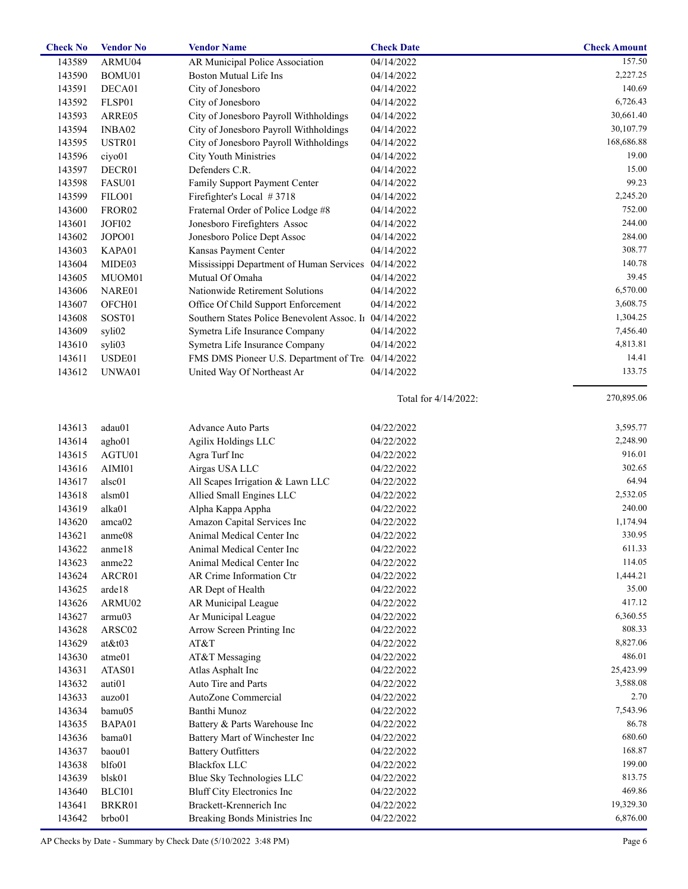| 157.50<br>143589<br>ARMU04<br>AR Municipal Police Association<br>04/14/2022<br><b>Boston Mutual Life Ins</b><br>2,227.25<br>143590<br>BOMU01<br>04/14/2022<br>City of Jonesboro<br>140.69<br>143591<br>DECA01<br>04/14/2022<br>6,726.43<br>143592<br>FLSP01<br>City of Jonesboro<br>04/14/2022<br>City of Jonesboro Payroll Withholdings<br>30,661.40<br>143593<br>04/14/2022<br>ARRE05<br>City of Jonesboro Payroll Withholdings<br>30,107.79<br>143594<br>INBA02<br>04/14/2022<br>168,686.88<br>143595<br>USTR01<br>City of Jonesboro Payroll Withholdings<br>04/14/2022<br>19.00<br>143596<br>ciyo01<br>City Youth Ministries<br>04/14/2022<br>Defenders C.R.<br>143597<br>DECR01<br>15.00<br>04/14/2022<br>99.23<br>143598<br>FASU01<br>Family Support Payment Center<br>04/14/2022<br>143599<br>FILO01<br>Firefighter's Local #3718<br>2,245.20<br>04/14/2022<br>752.00<br>143600<br>FROR <sub>02</sub><br>Fraternal Order of Police Lodge #8<br>04/14/2022<br>244.00<br>143601<br>JOFI02<br>Jonesboro Firefighters Assoc<br>04/14/2022<br>284.00<br>143602<br>JOPO01<br>Jonesboro Police Dept Assoc<br>04/14/2022<br>308.77<br>143603<br>KAPA01<br>Kansas Payment Center<br>04/14/2022<br>140.78<br>143604<br>Mississippi Department of Human Services 04/14/2022<br>MIDE03<br>Mutual Of Omaha<br>39.45<br>143605<br>MUOM01<br>04/14/2022<br>6,570.00<br>143606<br>NARE01<br>Nationwide Retirement Solutions<br>04/14/2022<br>3,608.75<br>143607<br>OFCH <sub>01</sub><br>Office Of Child Support Enforcement<br>04/14/2022<br>Southern States Police Benevolent Assoc. I1 04/14/2022<br>143608<br>SOST01<br>1,304.25<br>143609<br>syli02<br>Symetra Life Insurance Company<br>7,456.40<br>04/14/2022<br>4,813.81<br>143610<br>syli03<br>Symetra Life Insurance Company<br>04/14/2022<br>14.41<br>143611<br>USDE01<br>FMS DMS Pioneer U.S. Department of Tre 04/14/2022<br>143612<br>UNWA01<br>United Way Of Northeast Ar<br>04/14/2022<br>133.75<br>270,895.06<br>Total for 4/14/2022:<br>3,595.77<br>143613<br>adau01<br>04/22/2022<br>Advance Auto Parts<br>2,248.90<br>143614<br><b>Agilix Holdings LLC</b><br>04/22/2022<br>agho01<br>916.01<br>143615<br>AGTU01<br>04/22/2022<br>Agra Turf Inc<br>302.65<br>143616<br>AIMI01<br>Airgas USA LLC<br>04/22/2022<br>64.94<br>143617<br>alsc01<br>All Scapes Irrigation & Lawn LLC<br>04/22/2022<br>2,532.05<br>143618<br>alsm01<br>Allied Small Engines LLC<br>04/22/2022<br>240.00<br>143619<br>alka01<br>Alpha Kappa Appha<br>04/22/2022<br>1,174.94<br>Amazon Capital Services Inc<br>143620<br>amca02<br>04/22/2022<br>330.95<br>143621<br>anme08<br>Animal Medical Center Inc<br>04/22/2022<br>611.33<br>Animal Medical Center Inc<br>04/22/2022<br>143622<br>anme18<br>114.05<br>143623<br>anme22<br>04/22/2022<br>Animal Medical Center Inc<br>1,444.21<br>ARCR01<br>143624<br>AR Crime Information Ctr<br>04/22/2022<br>35.00<br>143625<br>arde18<br>AR Dept of Health<br>04/22/2022<br>417.12<br>143626<br>ARMU02<br>AR Municipal League<br>04/22/2022<br>6,360.55<br>143627<br>armu03<br>Ar Municipal League<br>04/22/2022<br>808.33<br>143628<br>ARSC02<br>Arrow Screen Printing Inc<br>04/22/2022<br>8,827.06<br>143629<br>$at \& t03$<br>AT&T<br>04/22/2022<br>486.01<br>143630<br>atme01<br>AT&T Messaging<br>04/22/2022<br>25,423.99<br>143631<br>ATAS01<br>04/22/2022<br>Atlas Asphalt Inc<br>3,588.08<br>143632<br>auti01<br>Auto Tire and Parts<br>04/22/2022<br>AutoZone Commercial<br>2.70<br>143633<br>auzo01<br>04/22/2022<br>7,543.96<br>143634<br>bamu05<br>Banthi Munoz<br>04/22/2022<br>86.78<br>143635<br>BAPA01<br>Battery & Parts Warehouse Inc<br>04/22/2022<br>680.60<br>143636<br>bama01<br>Battery Mart of Winchester Inc<br>04/22/2022<br>168.87<br>143637<br>baou01<br><b>Battery Outfitters</b><br>04/22/2022<br>199.00<br>143638<br>blfo01<br><b>Blackfox LLC</b><br>04/22/2022<br>813.75<br>143639<br>Blue Sky Technologies LLC<br>blsk01<br>04/22/2022<br>469.86<br>143640<br>BLCI01<br><b>Bluff City Electronics Inc</b><br>04/22/2022 | <b>Check No</b> | <b>Vendor No</b> | <b>Vendor Name</b> | <b>Check Date</b> | <b>Check Amount</b> |
|----------------------------------------------------------------------------------------------------------------------------------------------------------------------------------------------------------------------------------------------------------------------------------------------------------------------------------------------------------------------------------------------------------------------------------------------------------------------------------------------------------------------------------------------------------------------------------------------------------------------------------------------------------------------------------------------------------------------------------------------------------------------------------------------------------------------------------------------------------------------------------------------------------------------------------------------------------------------------------------------------------------------------------------------------------------------------------------------------------------------------------------------------------------------------------------------------------------------------------------------------------------------------------------------------------------------------------------------------------------------------------------------------------------------------------------------------------------------------------------------------------------------------------------------------------------------------------------------------------------------------------------------------------------------------------------------------------------------------------------------------------------------------------------------------------------------------------------------------------------------------------------------------------------------------------------------------------------------------------------------------------------------------------------------------------------------------------------------------------------------------------------------------------------------------------------------------------------------------------------------------------------------------------------------------------------------------------------------------------------------------------------------------------------------------------------------------------------------------------------------------------------------------------------------------------------------------------------------------------------------------------------------------------------------------------------------------------------------------------------------------------------------------------------------------------------------------------------------------------------------------------------------------------------------------------------------------------------------------------------------------------------------------------------------------------------------------------------------------------------------------------------------------------------------------------------------------------------------------------------------------------------------------------------------------------------------------------------------------------------------------------------------------------------------------------------------------------------------------------------------------------------------------------------------------------------------------------------------------------------------------------------------------------------------------------------------------------------------------------------------------------------------------------------------------------------------------------------------------------------------------------------------------------------------------------------------------------------------------------------------------------------------------------------|-----------------|------------------|--------------------|-------------------|---------------------|
|                                                                                                                                                                                                                                                                                                                                                                                                                                                                                                                                                                                                                                                                                                                                                                                                                                                                                                                                                                                                                                                                                                                                                                                                                                                                                                                                                                                                                                                                                                                                                                                                                                                                                                                                                                                                                                                                                                                                                                                                                                                                                                                                                                                                                                                                                                                                                                                                                                                                                                                                                                                                                                                                                                                                                                                                                                                                                                                                                                                                                                                                                                                                                                                                                                                                                                                                                                                                                                                                                                                                                                                                                                                                                                                                                                                                                                                                                                                                                                                                                                        |                 |                  |                    |                   |                     |
|                                                                                                                                                                                                                                                                                                                                                                                                                                                                                                                                                                                                                                                                                                                                                                                                                                                                                                                                                                                                                                                                                                                                                                                                                                                                                                                                                                                                                                                                                                                                                                                                                                                                                                                                                                                                                                                                                                                                                                                                                                                                                                                                                                                                                                                                                                                                                                                                                                                                                                                                                                                                                                                                                                                                                                                                                                                                                                                                                                                                                                                                                                                                                                                                                                                                                                                                                                                                                                                                                                                                                                                                                                                                                                                                                                                                                                                                                                                                                                                                                                        |                 |                  |                    |                   |                     |
|                                                                                                                                                                                                                                                                                                                                                                                                                                                                                                                                                                                                                                                                                                                                                                                                                                                                                                                                                                                                                                                                                                                                                                                                                                                                                                                                                                                                                                                                                                                                                                                                                                                                                                                                                                                                                                                                                                                                                                                                                                                                                                                                                                                                                                                                                                                                                                                                                                                                                                                                                                                                                                                                                                                                                                                                                                                                                                                                                                                                                                                                                                                                                                                                                                                                                                                                                                                                                                                                                                                                                                                                                                                                                                                                                                                                                                                                                                                                                                                                                                        |                 |                  |                    |                   |                     |
|                                                                                                                                                                                                                                                                                                                                                                                                                                                                                                                                                                                                                                                                                                                                                                                                                                                                                                                                                                                                                                                                                                                                                                                                                                                                                                                                                                                                                                                                                                                                                                                                                                                                                                                                                                                                                                                                                                                                                                                                                                                                                                                                                                                                                                                                                                                                                                                                                                                                                                                                                                                                                                                                                                                                                                                                                                                                                                                                                                                                                                                                                                                                                                                                                                                                                                                                                                                                                                                                                                                                                                                                                                                                                                                                                                                                                                                                                                                                                                                                                                        |                 |                  |                    |                   |                     |
|                                                                                                                                                                                                                                                                                                                                                                                                                                                                                                                                                                                                                                                                                                                                                                                                                                                                                                                                                                                                                                                                                                                                                                                                                                                                                                                                                                                                                                                                                                                                                                                                                                                                                                                                                                                                                                                                                                                                                                                                                                                                                                                                                                                                                                                                                                                                                                                                                                                                                                                                                                                                                                                                                                                                                                                                                                                                                                                                                                                                                                                                                                                                                                                                                                                                                                                                                                                                                                                                                                                                                                                                                                                                                                                                                                                                                                                                                                                                                                                                                                        |                 |                  |                    |                   |                     |
|                                                                                                                                                                                                                                                                                                                                                                                                                                                                                                                                                                                                                                                                                                                                                                                                                                                                                                                                                                                                                                                                                                                                                                                                                                                                                                                                                                                                                                                                                                                                                                                                                                                                                                                                                                                                                                                                                                                                                                                                                                                                                                                                                                                                                                                                                                                                                                                                                                                                                                                                                                                                                                                                                                                                                                                                                                                                                                                                                                                                                                                                                                                                                                                                                                                                                                                                                                                                                                                                                                                                                                                                                                                                                                                                                                                                                                                                                                                                                                                                                                        |                 |                  |                    |                   |                     |
|                                                                                                                                                                                                                                                                                                                                                                                                                                                                                                                                                                                                                                                                                                                                                                                                                                                                                                                                                                                                                                                                                                                                                                                                                                                                                                                                                                                                                                                                                                                                                                                                                                                                                                                                                                                                                                                                                                                                                                                                                                                                                                                                                                                                                                                                                                                                                                                                                                                                                                                                                                                                                                                                                                                                                                                                                                                                                                                                                                                                                                                                                                                                                                                                                                                                                                                                                                                                                                                                                                                                                                                                                                                                                                                                                                                                                                                                                                                                                                                                                                        |                 |                  |                    |                   |                     |
|                                                                                                                                                                                                                                                                                                                                                                                                                                                                                                                                                                                                                                                                                                                                                                                                                                                                                                                                                                                                                                                                                                                                                                                                                                                                                                                                                                                                                                                                                                                                                                                                                                                                                                                                                                                                                                                                                                                                                                                                                                                                                                                                                                                                                                                                                                                                                                                                                                                                                                                                                                                                                                                                                                                                                                                                                                                                                                                                                                                                                                                                                                                                                                                                                                                                                                                                                                                                                                                                                                                                                                                                                                                                                                                                                                                                                                                                                                                                                                                                                                        |                 |                  |                    |                   |                     |
|                                                                                                                                                                                                                                                                                                                                                                                                                                                                                                                                                                                                                                                                                                                                                                                                                                                                                                                                                                                                                                                                                                                                                                                                                                                                                                                                                                                                                                                                                                                                                                                                                                                                                                                                                                                                                                                                                                                                                                                                                                                                                                                                                                                                                                                                                                                                                                                                                                                                                                                                                                                                                                                                                                                                                                                                                                                                                                                                                                                                                                                                                                                                                                                                                                                                                                                                                                                                                                                                                                                                                                                                                                                                                                                                                                                                                                                                                                                                                                                                                                        |                 |                  |                    |                   |                     |
|                                                                                                                                                                                                                                                                                                                                                                                                                                                                                                                                                                                                                                                                                                                                                                                                                                                                                                                                                                                                                                                                                                                                                                                                                                                                                                                                                                                                                                                                                                                                                                                                                                                                                                                                                                                                                                                                                                                                                                                                                                                                                                                                                                                                                                                                                                                                                                                                                                                                                                                                                                                                                                                                                                                                                                                                                                                                                                                                                                                                                                                                                                                                                                                                                                                                                                                                                                                                                                                                                                                                                                                                                                                                                                                                                                                                                                                                                                                                                                                                                                        |                 |                  |                    |                   |                     |
|                                                                                                                                                                                                                                                                                                                                                                                                                                                                                                                                                                                                                                                                                                                                                                                                                                                                                                                                                                                                                                                                                                                                                                                                                                                                                                                                                                                                                                                                                                                                                                                                                                                                                                                                                                                                                                                                                                                                                                                                                                                                                                                                                                                                                                                                                                                                                                                                                                                                                                                                                                                                                                                                                                                                                                                                                                                                                                                                                                                                                                                                                                                                                                                                                                                                                                                                                                                                                                                                                                                                                                                                                                                                                                                                                                                                                                                                                                                                                                                                                                        |                 |                  |                    |                   |                     |
|                                                                                                                                                                                                                                                                                                                                                                                                                                                                                                                                                                                                                                                                                                                                                                                                                                                                                                                                                                                                                                                                                                                                                                                                                                                                                                                                                                                                                                                                                                                                                                                                                                                                                                                                                                                                                                                                                                                                                                                                                                                                                                                                                                                                                                                                                                                                                                                                                                                                                                                                                                                                                                                                                                                                                                                                                                                                                                                                                                                                                                                                                                                                                                                                                                                                                                                                                                                                                                                                                                                                                                                                                                                                                                                                                                                                                                                                                                                                                                                                                                        |                 |                  |                    |                   |                     |
|                                                                                                                                                                                                                                                                                                                                                                                                                                                                                                                                                                                                                                                                                                                                                                                                                                                                                                                                                                                                                                                                                                                                                                                                                                                                                                                                                                                                                                                                                                                                                                                                                                                                                                                                                                                                                                                                                                                                                                                                                                                                                                                                                                                                                                                                                                                                                                                                                                                                                                                                                                                                                                                                                                                                                                                                                                                                                                                                                                                                                                                                                                                                                                                                                                                                                                                                                                                                                                                                                                                                                                                                                                                                                                                                                                                                                                                                                                                                                                                                                                        |                 |                  |                    |                   |                     |
|                                                                                                                                                                                                                                                                                                                                                                                                                                                                                                                                                                                                                                                                                                                                                                                                                                                                                                                                                                                                                                                                                                                                                                                                                                                                                                                                                                                                                                                                                                                                                                                                                                                                                                                                                                                                                                                                                                                                                                                                                                                                                                                                                                                                                                                                                                                                                                                                                                                                                                                                                                                                                                                                                                                                                                                                                                                                                                                                                                                                                                                                                                                                                                                                                                                                                                                                                                                                                                                                                                                                                                                                                                                                                                                                                                                                                                                                                                                                                                                                                                        |                 |                  |                    |                   |                     |
|                                                                                                                                                                                                                                                                                                                                                                                                                                                                                                                                                                                                                                                                                                                                                                                                                                                                                                                                                                                                                                                                                                                                                                                                                                                                                                                                                                                                                                                                                                                                                                                                                                                                                                                                                                                                                                                                                                                                                                                                                                                                                                                                                                                                                                                                                                                                                                                                                                                                                                                                                                                                                                                                                                                                                                                                                                                                                                                                                                                                                                                                                                                                                                                                                                                                                                                                                                                                                                                                                                                                                                                                                                                                                                                                                                                                                                                                                                                                                                                                                                        |                 |                  |                    |                   |                     |
|                                                                                                                                                                                                                                                                                                                                                                                                                                                                                                                                                                                                                                                                                                                                                                                                                                                                                                                                                                                                                                                                                                                                                                                                                                                                                                                                                                                                                                                                                                                                                                                                                                                                                                                                                                                                                                                                                                                                                                                                                                                                                                                                                                                                                                                                                                                                                                                                                                                                                                                                                                                                                                                                                                                                                                                                                                                                                                                                                                                                                                                                                                                                                                                                                                                                                                                                                                                                                                                                                                                                                                                                                                                                                                                                                                                                                                                                                                                                                                                                                                        |                 |                  |                    |                   |                     |
|                                                                                                                                                                                                                                                                                                                                                                                                                                                                                                                                                                                                                                                                                                                                                                                                                                                                                                                                                                                                                                                                                                                                                                                                                                                                                                                                                                                                                                                                                                                                                                                                                                                                                                                                                                                                                                                                                                                                                                                                                                                                                                                                                                                                                                                                                                                                                                                                                                                                                                                                                                                                                                                                                                                                                                                                                                                                                                                                                                                                                                                                                                                                                                                                                                                                                                                                                                                                                                                                                                                                                                                                                                                                                                                                                                                                                                                                                                                                                                                                                                        |                 |                  |                    |                   |                     |
|                                                                                                                                                                                                                                                                                                                                                                                                                                                                                                                                                                                                                                                                                                                                                                                                                                                                                                                                                                                                                                                                                                                                                                                                                                                                                                                                                                                                                                                                                                                                                                                                                                                                                                                                                                                                                                                                                                                                                                                                                                                                                                                                                                                                                                                                                                                                                                                                                                                                                                                                                                                                                                                                                                                                                                                                                                                                                                                                                                                                                                                                                                                                                                                                                                                                                                                                                                                                                                                                                                                                                                                                                                                                                                                                                                                                                                                                                                                                                                                                                                        |                 |                  |                    |                   |                     |
|                                                                                                                                                                                                                                                                                                                                                                                                                                                                                                                                                                                                                                                                                                                                                                                                                                                                                                                                                                                                                                                                                                                                                                                                                                                                                                                                                                                                                                                                                                                                                                                                                                                                                                                                                                                                                                                                                                                                                                                                                                                                                                                                                                                                                                                                                                                                                                                                                                                                                                                                                                                                                                                                                                                                                                                                                                                                                                                                                                                                                                                                                                                                                                                                                                                                                                                                                                                                                                                                                                                                                                                                                                                                                                                                                                                                                                                                                                                                                                                                                                        |                 |                  |                    |                   |                     |
|                                                                                                                                                                                                                                                                                                                                                                                                                                                                                                                                                                                                                                                                                                                                                                                                                                                                                                                                                                                                                                                                                                                                                                                                                                                                                                                                                                                                                                                                                                                                                                                                                                                                                                                                                                                                                                                                                                                                                                                                                                                                                                                                                                                                                                                                                                                                                                                                                                                                                                                                                                                                                                                                                                                                                                                                                                                                                                                                                                                                                                                                                                                                                                                                                                                                                                                                                                                                                                                                                                                                                                                                                                                                                                                                                                                                                                                                                                                                                                                                                                        |                 |                  |                    |                   |                     |
|                                                                                                                                                                                                                                                                                                                                                                                                                                                                                                                                                                                                                                                                                                                                                                                                                                                                                                                                                                                                                                                                                                                                                                                                                                                                                                                                                                                                                                                                                                                                                                                                                                                                                                                                                                                                                                                                                                                                                                                                                                                                                                                                                                                                                                                                                                                                                                                                                                                                                                                                                                                                                                                                                                                                                                                                                                                                                                                                                                                                                                                                                                                                                                                                                                                                                                                                                                                                                                                                                                                                                                                                                                                                                                                                                                                                                                                                                                                                                                                                                                        |                 |                  |                    |                   |                     |
|                                                                                                                                                                                                                                                                                                                                                                                                                                                                                                                                                                                                                                                                                                                                                                                                                                                                                                                                                                                                                                                                                                                                                                                                                                                                                                                                                                                                                                                                                                                                                                                                                                                                                                                                                                                                                                                                                                                                                                                                                                                                                                                                                                                                                                                                                                                                                                                                                                                                                                                                                                                                                                                                                                                                                                                                                                                                                                                                                                                                                                                                                                                                                                                                                                                                                                                                                                                                                                                                                                                                                                                                                                                                                                                                                                                                                                                                                                                                                                                                                                        |                 |                  |                    |                   |                     |
|                                                                                                                                                                                                                                                                                                                                                                                                                                                                                                                                                                                                                                                                                                                                                                                                                                                                                                                                                                                                                                                                                                                                                                                                                                                                                                                                                                                                                                                                                                                                                                                                                                                                                                                                                                                                                                                                                                                                                                                                                                                                                                                                                                                                                                                                                                                                                                                                                                                                                                                                                                                                                                                                                                                                                                                                                                                                                                                                                                                                                                                                                                                                                                                                                                                                                                                                                                                                                                                                                                                                                                                                                                                                                                                                                                                                                                                                                                                                                                                                                                        |                 |                  |                    |                   |                     |
|                                                                                                                                                                                                                                                                                                                                                                                                                                                                                                                                                                                                                                                                                                                                                                                                                                                                                                                                                                                                                                                                                                                                                                                                                                                                                                                                                                                                                                                                                                                                                                                                                                                                                                                                                                                                                                                                                                                                                                                                                                                                                                                                                                                                                                                                                                                                                                                                                                                                                                                                                                                                                                                                                                                                                                                                                                                                                                                                                                                                                                                                                                                                                                                                                                                                                                                                                                                                                                                                                                                                                                                                                                                                                                                                                                                                                                                                                                                                                                                                                                        |                 |                  |                    |                   |                     |
|                                                                                                                                                                                                                                                                                                                                                                                                                                                                                                                                                                                                                                                                                                                                                                                                                                                                                                                                                                                                                                                                                                                                                                                                                                                                                                                                                                                                                                                                                                                                                                                                                                                                                                                                                                                                                                                                                                                                                                                                                                                                                                                                                                                                                                                                                                                                                                                                                                                                                                                                                                                                                                                                                                                                                                                                                                                                                                                                                                                                                                                                                                                                                                                                                                                                                                                                                                                                                                                                                                                                                                                                                                                                                                                                                                                                                                                                                                                                                                                                                                        |                 |                  |                    |                   |                     |
|                                                                                                                                                                                                                                                                                                                                                                                                                                                                                                                                                                                                                                                                                                                                                                                                                                                                                                                                                                                                                                                                                                                                                                                                                                                                                                                                                                                                                                                                                                                                                                                                                                                                                                                                                                                                                                                                                                                                                                                                                                                                                                                                                                                                                                                                                                                                                                                                                                                                                                                                                                                                                                                                                                                                                                                                                                                                                                                                                                                                                                                                                                                                                                                                                                                                                                                                                                                                                                                                                                                                                                                                                                                                                                                                                                                                                                                                                                                                                                                                                                        |                 |                  |                    |                   |                     |
|                                                                                                                                                                                                                                                                                                                                                                                                                                                                                                                                                                                                                                                                                                                                                                                                                                                                                                                                                                                                                                                                                                                                                                                                                                                                                                                                                                                                                                                                                                                                                                                                                                                                                                                                                                                                                                                                                                                                                                                                                                                                                                                                                                                                                                                                                                                                                                                                                                                                                                                                                                                                                                                                                                                                                                                                                                                                                                                                                                                                                                                                                                                                                                                                                                                                                                                                                                                                                                                                                                                                                                                                                                                                                                                                                                                                                                                                                                                                                                                                                                        |                 |                  |                    |                   |                     |
|                                                                                                                                                                                                                                                                                                                                                                                                                                                                                                                                                                                                                                                                                                                                                                                                                                                                                                                                                                                                                                                                                                                                                                                                                                                                                                                                                                                                                                                                                                                                                                                                                                                                                                                                                                                                                                                                                                                                                                                                                                                                                                                                                                                                                                                                                                                                                                                                                                                                                                                                                                                                                                                                                                                                                                                                                                                                                                                                                                                                                                                                                                                                                                                                                                                                                                                                                                                                                                                                                                                                                                                                                                                                                                                                                                                                                                                                                                                                                                                                                                        |                 |                  |                    |                   |                     |
|                                                                                                                                                                                                                                                                                                                                                                                                                                                                                                                                                                                                                                                                                                                                                                                                                                                                                                                                                                                                                                                                                                                                                                                                                                                                                                                                                                                                                                                                                                                                                                                                                                                                                                                                                                                                                                                                                                                                                                                                                                                                                                                                                                                                                                                                                                                                                                                                                                                                                                                                                                                                                                                                                                                                                                                                                                                                                                                                                                                                                                                                                                                                                                                                                                                                                                                                                                                                                                                                                                                                                                                                                                                                                                                                                                                                                                                                                                                                                                                                                                        |                 |                  |                    |                   |                     |
|                                                                                                                                                                                                                                                                                                                                                                                                                                                                                                                                                                                                                                                                                                                                                                                                                                                                                                                                                                                                                                                                                                                                                                                                                                                                                                                                                                                                                                                                                                                                                                                                                                                                                                                                                                                                                                                                                                                                                                                                                                                                                                                                                                                                                                                                                                                                                                                                                                                                                                                                                                                                                                                                                                                                                                                                                                                                                                                                                                                                                                                                                                                                                                                                                                                                                                                                                                                                                                                                                                                                                                                                                                                                                                                                                                                                                                                                                                                                                                                                                                        |                 |                  |                    |                   |                     |
|                                                                                                                                                                                                                                                                                                                                                                                                                                                                                                                                                                                                                                                                                                                                                                                                                                                                                                                                                                                                                                                                                                                                                                                                                                                                                                                                                                                                                                                                                                                                                                                                                                                                                                                                                                                                                                                                                                                                                                                                                                                                                                                                                                                                                                                                                                                                                                                                                                                                                                                                                                                                                                                                                                                                                                                                                                                                                                                                                                                                                                                                                                                                                                                                                                                                                                                                                                                                                                                                                                                                                                                                                                                                                                                                                                                                                                                                                                                                                                                                                                        |                 |                  |                    |                   |                     |
|                                                                                                                                                                                                                                                                                                                                                                                                                                                                                                                                                                                                                                                                                                                                                                                                                                                                                                                                                                                                                                                                                                                                                                                                                                                                                                                                                                                                                                                                                                                                                                                                                                                                                                                                                                                                                                                                                                                                                                                                                                                                                                                                                                                                                                                                                                                                                                                                                                                                                                                                                                                                                                                                                                                                                                                                                                                                                                                                                                                                                                                                                                                                                                                                                                                                                                                                                                                                                                                                                                                                                                                                                                                                                                                                                                                                                                                                                                                                                                                                                                        |                 |                  |                    |                   |                     |
|                                                                                                                                                                                                                                                                                                                                                                                                                                                                                                                                                                                                                                                                                                                                                                                                                                                                                                                                                                                                                                                                                                                                                                                                                                                                                                                                                                                                                                                                                                                                                                                                                                                                                                                                                                                                                                                                                                                                                                                                                                                                                                                                                                                                                                                                                                                                                                                                                                                                                                                                                                                                                                                                                                                                                                                                                                                                                                                                                                                                                                                                                                                                                                                                                                                                                                                                                                                                                                                                                                                                                                                                                                                                                                                                                                                                                                                                                                                                                                                                                                        |                 |                  |                    |                   |                     |
|                                                                                                                                                                                                                                                                                                                                                                                                                                                                                                                                                                                                                                                                                                                                                                                                                                                                                                                                                                                                                                                                                                                                                                                                                                                                                                                                                                                                                                                                                                                                                                                                                                                                                                                                                                                                                                                                                                                                                                                                                                                                                                                                                                                                                                                                                                                                                                                                                                                                                                                                                                                                                                                                                                                                                                                                                                                                                                                                                                                                                                                                                                                                                                                                                                                                                                                                                                                                                                                                                                                                                                                                                                                                                                                                                                                                                                                                                                                                                                                                                                        |                 |                  |                    |                   |                     |
|                                                                                                                                                                                                                                                                                                                                                                                                                                                                                                                                                                                                                                                                                                                                                                                                                                                                                                                                                                                                                                                                                                                                                                                                                                                                                                                                                                                                                                                                                                                                                                                                                                                                                                                                                                                                                                                                                                                                                                                                                                                                                                                                                                                                                                                                                                                                                                                                                                                                                                                                                                                                                                                                                                                                                                                                                                                                                                                                                                                                                                                                                                                                                                                                                                                                                                                                                                                                                                                                                                                                                                                                                                                                                                                                                                                                                                                                                                                                                                                                                                        |                 |                  |                    |                   |                     |
|                                                                                                                                                                                                                                                                                                                                                                                                                                                                                                                                                                                                                                                                                                                                                                                                                                                                                                                                                                                                                                                                                                                                                                                                                                                                                                                                                                                                                                                                                                                                                                                                                                                                                                                                                                                                                                                                                                                                                                                                                                                                                                                                                                                                                                                                                                                                                                                                                                                                                                                                                                                                                                                                                                                                                                                                                                                                                                                                                                                                                                                                                                                                                                                                                                                                                                                                                                                                                                                                                                                                                                                                                                                                                                                                                                                                                                                                                                                                                                                                                                        |                 |                  |                    |                   |                     |
|                                                                                                                                                                                                                                                                                                                                                                                                                                                                                                                                                                                                                                                                                                                                                                                                                                                                                                                                                                                                                                                                                                                                                                                                                                                                                                                                                                                                                                                                                                                                                                                                                                                                                                                                                                                                                                                                                                                                                                                                                                                                                                                                                                                                                                                                                                                                                                                                                                                                                                                                                                                                                                                                                                                                                                                                                                                                                                                                                                                                                                                                                                                                                                                                                                                                                                                                                                                                                                                                                                                                                                                                                                                                                                                                                                                                                                                                                                                                                                                                                                        |                 |                  |                    |                   |                     |
|                                                                                                                                                                                                                                                                                                                                                                                                                                                                                                                                                                                                                                                                                                                                                                                                                                                                                                                                                                                                                                                                                                                                                                                                                                                                                                                                                                                                                                                                                                                                                                                                                                                                                                                                                                                                                                                                                                                                                                                                                                                                                                                                                                                                                                                                                                                                                                                                                                                                                                                                                                                                                                                                                                                                                                                                                                                                                                                                                                                                                                                                                                                                                                                                                                                                                                                                                                                                                                                                                                                                                                                                                                                                                                                                                                                                                                                                                                                                                                                                                                        |                 |                  |                    |                   |                     |
|                                                                                                                                                                                                                                                                                                                                                                                                                                                                                                                                                                                                                                                                                                                                                                                                                                                                                                                                                                                                                                                                                                                                                                                                                                                                                                                                                                                                                                                                                                                                                                                                                                                                                                                                                                                                                                                                                                                                                                                                                                                                                                                                                                                                                                                                                                                                                                                                                                                                                                                                                                                                                                                                                                                                                                                                                                                                                                                                                                                                                                                                                                                                                                                                                                                                                                                                                                                                                                                                                                                                                                                                                                                                                                                                                                                                                                                                                                                                                                                                                                        |                 |                  |                    |                   |                     |
|                                                                                                                                                                                                                                                                                                                                                                                                                                                                                                                                                                                                                                                                                                                                                                                                                                                                                                                                                                                                                                                                                                                                                                                                                                                                                                                                                                                                                                                                                                                                                                                                                                                                                                                                                                                                                                                                                                                                                                                                                                                                                                                                                                                                                                                                                                                                                                                                                                                                                                                                                                                                                                                                                                                                                                                                                                                                                                                                                                                                                                                                                                                                                                                                                                                                                                                                                                                                                                                                                                                                                                                                                                                                                                                                                                                                                                                                                                                                                                                                                                        |                 |                  |                    |                   |                     |
|                                                                                                                                                                                                                                                                                                                                                                                                                                                                                                                                                                                                                                                                                                                                                                                                                                                                                                                                                                                                                                                                                                                                                                                                                                                                                                                                                                                                                                                                                                                                                                                                                                                                                                                                                                                                                                                                                                                                                                                                                                                                                                                                                                                                                                                                                                                                                                                                                                                                                                                                                                                                                                                                                                                                                                                                                                                                                                                                                                                                                                                                                                                                                                                                                                                                                                                                                                                                                                                                                                                                                                                                                                                                                                                                                                                                                                                                                                                                                                                                                                        |                 |                  |                    |                   |                     |
|                                                                                                                                                                                                                                                                                                                                                                                                                                                                                                                                                                                                                                                                                                                                                                                                                                                                                                                                                                                                                                                                                                                                                                                                                                                                                                                                                                                                                                                                                                                                                                                                                                                                                                                                                                                                                                                                                                                                                                                                                                                                                                                                                                                                                                                                                                                                                                                                                                                                                                                                                                                                                                                                                                                                                                                                                                                                                                                                                                                                                                                                                                                                                                                                                                                                                                                                                                                                                                                                                                                                                                                                                                                                                                                                                                                                                                                                                                                                                                                                                                        |                 |                  |                    |                   |                     |
|                                                                                                                                                                                                                                                                                                                                                                                                                                                                                                                                                                                                                                                                                                                                                                                                                                                                                                                                                                                                                                                                                                                                                                                                                                                                                                                                                                                                                                                                                                                                                                                                                                                                                                                                                                                                                                                                                                                                                                                                                                                                                                                                                                                                                                                                                                                                                                                                                                                                                                                                                                                                                                                                                                                                                                                                                                                                                                                                                                                                                                                                                                                                                                                                                                                                                                                                                                                                                                                                                                                                                                                                                                                                                                                                                                                                                                                                                                                                                                                                                                        |                 |                  |                    |                   |                     |
|                                                                                                                                                                                                                                                                                                                                                                                                                                                                                                                                                                                                                                                                                                                                                                                                                                                                                                                                                                                                                                                                                                                                                                                                                                                                                                                                                                                                                                                                                                                                                                                                                                                                                                                                                                                                                                                                                                                                                                                                                                                                                                                                                                                                                                                                                                                                                                                                                                                                                                                                                                                                                                                                                                                                                                                                                                                                                                                                                                                                                                                                                                                                                                                                                                                                                                                                                                                                                                                                                                                                                                                                                                                                                                                                                                                                                                                                                                                                                                                                                                        |                 |                  |                    |                   |                     |
|                                                                                                                                                                                                                                                                                                                                                                                                                                                                                                                                                                                                                                                                                                                                                                                                                                                                                                                                                                                                                                                                                                                                                                                                                                                                                                                                                                                                                                                                                                                                                                                                                                                                                                                                                                                                                                                                                                                                                                                                                                                                                                                                                                                                                                                                                                                                                                                                                                                                                                                                                                                                                                                                                                                                                                                                                                                                                                                                                                                                                                                                                                                                                                                                                                                                                                                                                                                                                                                                                                                                                                                                                                                                                                                                                                                                                                                                                                                                                                                                                                        |                 |                  |                    |                   |                     |
|                                                                                                                                                                                                                                                                                                                                                                                                                                                                                                                                                                                                                                                                                                                                                                                                                                                                                                                                                                                                                                                                                                                                                                                                                                                                                                                                                                                                                                                                                                                                                                                                                                                                                                                                                                                                                                                                                                                                                                                                                                                                                                                                                                                                                                                                                                                                                                                                                                                                                                                                                                                                                                                                                                                                                                                                                                                                                                                                                                                                                                                                                                                                                                                                                                                                                                                                                                                                                                                                                                                                                                                                                                                                                                                                                                                                                                                                                                                                                                                                                                        |                 |                  |                    |                   |                     |
|                                                                                                                                                                                                                                                                                                                                                                                                                                                                                                                                                                                                                                                                                                                                                                                                                                                                                                                                                                                                                                                                                                                                                                                                                                                                                                                                                                                                                                                                                                                                                                                                                                                                                                                                                                                                                                                                                                                                                                                                                                                                                                                                                                                                                                                                                                                                                                                                                                                                                                                                                                                                                                                                                                                                                                                                                                                                                                                                                                                                                                                                                                                                                                                                                                                                                                                                                                                                                                                                                                                                                                                                                                                                                                                                                                                                                                                                                                                                                                                                                                        |                 |                  |                    |                   |                     |
|                                                                                                                                                                                                                                                                                                                                                                                                                                                                                                                                                                                                                                                                                                                                                                                                                                                                                                                                                                                                                                                                                                                                                                                                                                                                                                                                                                                                                                                                                                                                                                                                                                                                                                                                                                                                                                                                                                                                                                                                                                                                                                                                                                                                                                                                                                                                                                                                                                                                                                                                                                                                                                                                                                                                                                                                                                                                                                                                                                                                                                                                                                                                                                                                                                                                                                                                                                                                                                                                                                                                                                                                                                                                                                                                                                                                                                                                                                                                                                                                                                        |                 |                  |                    |                   |                     |
|                                                                                                                                                                                                                                                                                                                                                                                                                                                                                                                                                                                                                                                                                                                                                                                                                                                                                                                                                                                                                                                                                                                                                                                                                                                                                                                                                                                                                                                                                                                                                                                                                                                                                                                                                                                                                                                                                                                                                                                                                                                                                                                                                                                                                                                                                                                                                                                                                                                                                                                                                                                                                                                                                                                                                                                                                                                                                                                                                                                                                                                                                                                                                                                                                                                                                                                                                                                                                                                                                                                                                                                                                                                                                                                                                                                                                                                                                                                                                                                                                                        |                 |                  |                    |                   |                     |
|                                                                                                                                                                                                                                                                                                                                                                                                                                                                                                                                                                                                                                                                                                                                                                                                                                                                                                                                                                                                                                                                                                                                                                                                                                                                                                                                                                                                                                                                                                                                                                                                                                                                                                                                                                                                                                                                                                                                                                                                                                                                                                                                                                                                                                                                                                                                                                                                                                                                                                                                                                                                                                                                                                                                                                                                                                                                                                                                                                                                                                                                                                                                                                                                                                                                                                                                                                                                                                                                                                                                                                                                                                                                                                                                                                                                                                                                                                                                                                                                                                        |                 |                  |                    |                   |                     |
|                                                                                                                                                                                                                                                                                                                                                                                                                                                                                                                                                                                                                                                                                                                                                                                                                                                                                                                                                                                                                                                                                                                                                                                                                                                                                                                                                                                                                                                                                                                                                                                                                                                                                                                                                                                                                                                                                                                                                                                                                                                                                                                                                                                                                                                                                                                                                                                                                                                                                                                                                                                                                                                                                                                                                                                                                                                                                                                                                                                                                                                                                                                                                                                                                                                                                                                                                                                                                                                                                                                                                                                                                                                                                                                                                                                                                                                                                                                                                                                                                                        |                 |                  |                    |                   |                     |
|                                                                                                                                                                                                                                                                                                                                                                                                                                                                                                                                                                                                                                                                                                                                                                                                                                                                                                                                                                                                                                                                                                                                                                                                                                                                                                                                                                                                                                                                                                                                                                                                                                                                                                                                                                                                                                                                                                                                                                                                                                                                                                                                                                                                                                                                                                                                                                                                                                                                                                                                                                                                                                                                                                                                                                                                                                                                                                                                                                                                                                                                                                                                                                                                                                                                                                                                                                                                                                                                                                                                                                                                                                                                                                                                                                                                                                                                                                                                                                                                                                        |                 |                  |                    |                   |                     |
|                                                                                                                                                                                                                                                                                                                                                                                                                                                                                                                                                                                                                                                                                                                                                                                                                                                                                                                                                                                                                                                                                                                                                                                                                                                                                                                                                                                                                                                                                                                                                                                                                                                                                                                                                                                                                                                                                                                                                                                                                                                                                                                                                                                                                                                                                                                                                                                                                                                                                                                                                                                                                                                                                                                                                                                                                                                                                                                                                                                                                                                                                                                                                                                                                                                                                                                                                                                                                                                                                                                                                                                                                                                                                                                                                                                                                                                                                                                                                                                                                                        |                 |                  |                    |                   |                     |
|                                                                                                                                                                                                                                                                                                                                                                                                                                                                                                                                                                                                                                                                                                                                                                                                                                                                                                                                                                                                                                                                                                                                                                                                                                                                                                                                                                                                                                                                                                                                                                                                                                                                                                                                                                                                                                                                                                                                                                                                                                                                                                                                                                                                                                                                                                                                                                                                                                                                                                                                                                                                                                                                                                                                                                                                                                                                                                                                                                                                                                                                                                                                                                                                                                                                                                                                                                                                                                                                                                                                                                                                                                                                                                                                                                                                                                                                                                                                                                                                                                        |                 |                  |                    |                   |                     |
|                                                                                                                                                                                                                                                                                                                                                                                                                                                                                                                                                                                                                                                                                                                                                                                                                                                                                                                                                                                                                                                                                                                                                                                                                                                                                                                                                                                                                                                                                                                                                                                                                                                                                                                                                                                                                                                                                                                                                                                                                                                                                                                                                                                                                                                                                                                                                                                                                                                                                                                                                                                                                                                                                                                                                                                                                                                                                                                                                                                                                                                                                                                                                                                                                                                                                                                                                                                                                                                                                                                                                                                                                                                                                                                                                                                                                                                                                                                                                                                                                                        |                 |                  |                    |                   |                     |
|                                                                                                                                                                                                                                                                                                                                                                                                                                                                                                                                                                                                                                                                                                                                                                                                                                                                                                                                                                                                                                                                                                                                                                                                                                                                                                                                                                                                                                                                                                                                                                                                                                                                                                                                                                                                                                                                                                                                                                                                                                                                                                                                                                                                                                                                                                                                                                                                                                                                                                                                                                                                                                                                                                                                                                                                                                                                                                                                                                                                                                                                                                                                                                                                                                                                                                                                                                                                                                                                                                                                                                                                                                                                                                                                                                                                                                                                                                                                                                                                                                        |                 |                  |                    |                   |                     |
|                                                                                                                                                                                                                                                                                                                                                                                                                                                                                                                                                                                                                                                                                                                                                                                                                                                                                                                                                                                                                                                                                                                                                                                                                                                                                                                                                                                                                                                                                                                                                                                                                                                                                                                                                                                                                                                                                                                                                                                                                                                                                                                                                                                                                                                                                                                                                                                                                                                                                                                                                                                                                                                                                                                                                                                                                                                                                                                                                                                                                                                                                                                                                                                                                                                                                                                                                                                                                                                                                                                                                                                                                                                                                                                                                                                                                                                                                                                                                                                                                                        |                 |                  |                    |                   |                     |
|                                                                                                                                                                                                                                                                                                                                                                                                                                                                                                                                                                                                                                                                                                                                                                                                                                                                                                                                                                                                                                                                                                                                                                                                                                                                                                                                                                                                                                                                                                                                                                                                                                                                                                                                                                                                                                                                                                                                                                                                                                                                                                                                                                                                                                                                                                                                                                                                                                                                                                                                                                                                                                                                                                                                                                                                                                                                                                                                                                                                                                                                                                                                                                                                                                                                                                                                                                                                                                                                                                                                                                                                                                                                                                                                                                                                                                                                                                                                                                                                                                        |                 |                  |                    |                   |                     |
| 19,329.30<br>BRKR01<br>Brackett-Krennerich Inc<br>143641<br>04/22/2022                                                                                                                                                                                                                                                                                                                                                                                                                                                                                                                                                                                                                                                                                                                                                                                                                                                                                                                                                                                                                                                                                                                                                                                                                                                                                                                                                                                                                                                                                                                                                                                                                                                                                                                                                                                                                                                                                                                                                                                                                                                                                                                                                                                                                                                                                                                                                                                                                                                                                                                                                                                                                                                                                                                                                                                                                                                                                                                                                                                                                                                                                                                                                                                                                                                                                                                                                                                                                                                                                                                                                                                                                                                                                                                                                                                                                                                                                                                                                                 |                 |                  |                    |                   |                     |
| 6,876.00<br>143642<br>Breaking Bonds Ministries Inc<br>04/22/2022<br>brbo01                                                                                                                                                                                                                                                                                                                                                                                                                                                                                                                                                                                                                                                                                                                                                                                                                                                                                                                                                                                                                                                                                                                                                                                                                                                                                                                                                                                                                                                                                                                                                                                                                                                                                                                                                                                                                                                                                                                                                                                                                                                                                                                                                                                                                                                                                                                                                                                                                                                                                                                                                                                                                                                                                                                                                                                                                                                                                                                                                                                                                                                                                                                                                                                                                                                                                                                                                                                                                                                                                                                                                                                                                                                                                                                                                                                                                                                                                                                                                            |                 |                  |                    |                   |                     |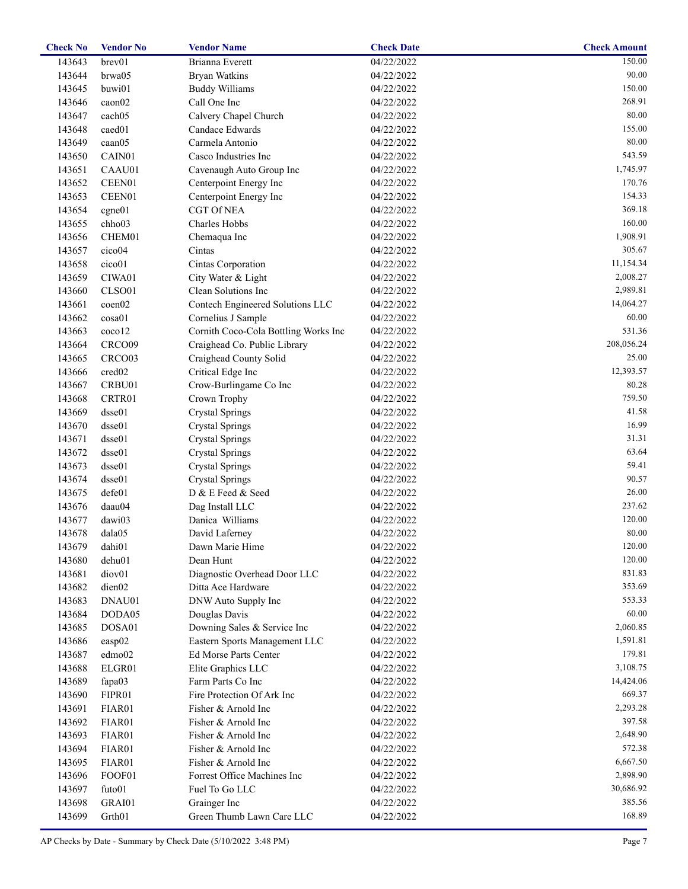| brev01<br>04/22/2022<br>143643<br>Brianna Everett<br>143644<br>brwa05<br><b>Bryan Watkins</b><br>04/22/2022<br>buwi01<br>143645<br><b>Buddy Williams</b><br>04/22/2022<br>caon02<br>Call One Inc<br>143646<br>04/22/2022<br>cach05<br>Calvery Chapel Church<br>143647<br>04/22/2022<br>caed01<br>Candace Edwards<br>143648<br>04/22/2022<br>Carmela Antonio<br>143649<br>caan05<br>04/22/2022<br>143650<br>CAIN01<br>Casco Industries Inc<br>04/22/2022<br>Cavenaugh Auto Group Inc<br>143651<br>CAAU01<br>04/22/2022<br>143652<br>CEEN01<br>Centerpoint Energy Inc<br>04/22/2022<br>143653<br>CEEN01<br>Centerpoint Energy Inc<br>04/22/2022<br><b>CGT Of NEA</b><br>143654<br>cgne01<br>04/22/2022<br>chho03<br>Charles Hobbs<br>143655<br>04/22/2022<br>CHEM01<br>143656<br>04/22/2022<br>Chemaqua Inc<br>143657<br>cico04<br>Cintas<br>04/22/2022<br>cico01<br>Cintas Corporation<br>143658<br>04/22/2022<br>143659<br>CIWA01<br>City Water & Light<br>04/22/2022<br>Clean Solutions Inc<br>143660<br>CLSO01<br>04/22/2022<br>Contech Engineered Solutions LLC<br>143661<br>coen <sub>02</sub><br>04/22/2022<br>cosa01<br>143662<br>Cornelius J Sample<br>04/22/2022<br>coco12<br>Cornith Coco-Cola Bottling Works Inc<br>143663<br>04/22/2022<br>Craighead Co. Public Library<br>143664<br>CRCO09<br>04/22/2022<br>Craighead County Solid<br>143665<br>CRCO <sub>03</sub><br>04/22/2022<br>cred02<br>Critical Edge Inc<br>143666<br>04/22/2022<br>Crow-Burlingame Co Inc<br>143667<br>CRBU01<br>04/22/2022<br>Crown Trophy<br>143668<br>CRTR01<br>04/22/2022<br>143669<br>dsse01<br><b>Crystal Springs</b><br>04/22/2022<br>143670<br>dsse01<br><b>Crystal Springs</b><br>04/22/2022<br>dsse01<br>143671<br><b>Crystal Springs</b><br>04/22/2022<br>dsse01<br>143672<br><b>Crystal Springs</b><br>04/22/2022<br>143673<br>dsse01<br><b>Crystal Springs</b><br>04/22/2022<br>143674<br>dsse01<br><b>Crystal Springs</b><br>04/22/2022<br>defe01<br>D & E Feed & Seed<br>143675<br>04/22/2022<br>143676<br>daau04<br>Dag Install LLC<br>04/22/2022<br>Danica Williams<br>143677<br>dawi03<br>04/22/2022<br>David Laferney<br>04/22/2022<br>143678<br>dala05<br>dahi01<br>143679<br>Dawn Marie Hime<br>04/22/2022<br>143680<br>dehu01<br>Dean Hunt<br>04/22/2022<br>143681<br>diov <sub>01</sub><br>Diagnostic Overhead Door LLC<br>04/22/2022<br>143682<br>dien02<br>Ditta Ace Hardware<br>04/22/2022<br>143683<br>DNAU01<br>DNW Auto Supply Inc<br>04/22/2022<br>143684<br>DODA05<br>Douglas Davis<br>04/22/2022<br>143685<br>DOSA01<br>Downing Sales & Service Inc<br>04/22/2022<br>143686<br>Eastern Sports Management LLC<br>$\exp 02$<br>04/22/2022<br>143687<br>edmo02<br>Ed Morse Parts Center<br>04/22/2022<br>143688<br>ELGR01<br>Elite Graphics LLC<br>04/22/2022<br>143689<br>fapa03<br>Farm Parts Co Inc<br>04/22/2022 |            |  |  |
|---------------------------------------------------------------------------------------------------------------------------------------------------------------------------------------------------------------------------------------------------------------------------------------------------------------------------------------------------------------------------------------------------------------------------------------------------------------------------------------------------------------------------------------------------------------------------------------------------------------------------------------------------------------------------------------------------------------------------------------------------------------------------------------------------------------------------------------------------------------------------------------------------------------------------------------------------------------------------------------------------------------------------------------------------------------------------------------------------------------------------------------------------------------------------------------------------------------------------------------------------------------------------------------------------------------------------------------------------------------------------------------------------------------------------------------------------------------------------------------------------------------------------------------------------------------------------------------------------------------------------------------------------------------------------------------------------------------------------------------------------------------------------------------------------------------------------------------------------------------------------------------------------------------------------------------------------------------------------------------------------------------------------------------------------------------------------------------------------------------------------------------------------------------------------------------------------------------------------------------------------------------------------------------------------------------------------------------------------------------------------------------------------------------------------------------------------------------------------------------------------------------------------------------------------------------------------------------------------------------------------------------------------------------------------------------------------------------------------------------------------------------------------------------------------------------------------------------|------------|--|--|
|                                                                                                                                                                                                                                                                                                                                                                                                                                                                                                                                                                                                                                                                                                                                                                                                                                                                                                                                                                                                                                                                                                                                                                                                                                                                                                                                                                                                                                                                                                                                                                                                                                                                                                                                                                                                                                                                                                                                                                                                                                                                                                                                                                                                                                                                                                                                                                                                                                                                                                                                                                                                                                                                                                                                                                                                                                       | 150.00     |  |  |
|                                                                                                                                                                                                                                                                                                                                                                                                                                                                                                                                                                                                                                                                                                                                                                                                                                                                                                                                                                                                                                                                                                                                                                                                                                                                                                                                                                                                                                                                                                                                                                                                                                                                                                                                                                                                                                                                                                                                                                                                                                                                                                                                                                                                                                                                                                                                                                                                                                                                                                                                                                                                                                                                                                                                                                                                                                       | 90.00      |  |  |
|                                                                                                                                                                                                                                                                                                                                                                                                                                                                                                                                                                                                                                                                                                                                                                                                                                                                                                                                                                                                                                                                                                                                                                                                                                                                                                                                                                                                                                                                                                                                                                                                                                                                                                                                                                                                                                                                                                                                                                                                                                                                                                                                                                                                                                                                                                                                                                                                                                                                                                                                                                                                                                                                                                                                                                                                                                       | 150.00     |  |  |
|                                                                                                                                                                                                                                                                                                                                                                                                                                                                                                                                                                                                                                                                                                                                                                                                                                                                                                                                                                                                                                                                                                                                                                                                                                                                                                                                                                                                                                                                                                                                                                                                                                                                                                                                                                                                                                                                                                                                                                                                                                                                                                                                                                                                                                                                                                                                                                                                                                                                                                                                                                                                                                                                                                                                                                                                                                       | 268.91     |  |  |
|                                                                                                                                                                                                                                                                                                                                                                                                                                                                                                                                                                                                                                                                                                                                                                                                                                                                                                                                                                                                                                                                                                                                                                                                                                                                                                                                                                                                                                                                                                                                                                                                                                                                                                                                                                                                                                                                                                                                                                                                                                                                                                                                                                                                                                                                                                                                                                                                                                                                                                                                                                                                                                                                                                                                                                                                                                       | 80.00      |  |  |
|                                                                                                                                                                                                                                                                                                                                                                                                                                                                                                                                                                                                                                                                                                                                                                                                                                                                                                                                                                                                                                                                                                                                                                                                                                                                                                                                                                                                                                                                                                                                                                                                                                                                                                                                                                                                                                                                                                                                                                                                                                                                                                                                                                                                                                                                                                                                                                                                                                                                                                                                                                                                                                                                                                                                                                                                                                       | 155.00     |  |  |
|                                                                                                                                                                                                                                                                                                                                                                                                                                                                                                                                                                                                                                                                                                                                                                                                                                                                                                                                                                                                                                                                                                                                                                                                                                                                                                                                                                                                                                                                                                                                                                                                                                                                                                                                                                                                                                                                                                                                                                                                                                                                                                                                                                                                                                                                                                                                                                                                                                                                                                                                                                                                                                                                                                                                                                                                                                       | 80.00      |  |  |
|                                                                                                                                                                                                                                                                                                                                                                                                                                                                                                                                                                                                                                                                                                                                                                                                                                                                                                                                                                                                                                                                                                                                                                                                                                                                                                                                                                                                                                                                                                                                                                                                                                                                                                                                                                                                                                                                                                                                                                                                                                                                                                                                                                                                                                                                                                                                                                                                                                                                                                                                                                                                                                                                                                                                                                                                                                       | 543.59     |  |  |
|                                                                                                                                                                                                                                                                                                                                                                                                                                                                                                                                                                                                                                                                                                                                                                                                                                                                                                                                                                                                                                                                                                                                                                                                                                                                                                                                                                                                                                                                                                                                                                                                                                                                                                                                                                                                                                                                                                                                                                                                                                                                                                                                                                                                                                                                                                                                                                                                                                                                                                                                                                                                                                                                                                                                                                                                                                       | 1,745.97   |  |  |
|                                                                                                                                                                                                                                                                                                                                                                                                                                                                                                                                                                                                                                                                                                                                                                                                                                                                                                                                                                                                                                                                                                                                                                                                                                                                                                                                                                                                                                                                                                                                                                                                                                                                                                                                                                                                                                                                                                                                                                                                                                                                                                                                                                                                                                                                                                                                                                                                                                                                                                                                                                                                                                                                                                                                                                                                                                       | 170.76     |  |  |
|                                                                                                                                                                                                                                                                                                                                                                                                                                                                                                                                                                                                                                                                                                                                                                                                                                                                                                                                                                                                                                                                                                                                                                                                                                                                                                                                                                                                                                                                                                                                                                                                                                                                                                                                                                                                                                                                                                                                                                                                                                                                                                                                                                                                                                                                                                                                                                                                                                                                                                                                                                                                                                                                                                                                                                                                                                       | 154.33     |  |  |
|                                                                                                                                                                                                                                                                                                                                                                                                                                                                                                                                                                                                                                                                                                                                                                                                                                                                                                                                                                                                                                                                                                                                                                                                                                                                                                                                                                                                                                                                                                                                                                                                                                                                                                                                                                                                                                                                                                                                                                                                                                                                                                                                                                                                                                                                                                                                                                                                                                                                                                                                                                                                                                                                                                                                                                                                                                       | 369.18     |  |  |
|                                                                                                                                                                                                                                                                                                                                                                                                                                                                                                                                                                                                                                                                                                                                                                                                                                                                                                                                                                                                                                                                                                                                                                                                                                                                                                                                                                                                                                                                                                                                                                                                                                                                                                                                                                                                                                                                                                                                                                                                                                                                                                                                                                                                                                                                                                                                                                                                                                                                                                                                                                                                                                                                                                                                                                                                                                       | 160.00     |  |  |
|                                                                                                                                                                                                                                                                                                                                                                                                                                                                                                                                                                                                                                                                                                                                                                                                                                                                                                                                                                                                                                                                                                                                                                                                                                                                                                                                                                                                                                                                                                                                                                                                                                                                                                                                                                                                                                                                                                                                                                                                                                                                                                                                                                                                                                                                                                                                                                                                                                                                                                                                                                                                                                                                                                                                                                                                                                       | 1,908.91   |  |  |
|                                                                                                                                                                                                                                                                                                                                                                                                                                                                                                                                                                                                                                                                                                                                                                                                                                                                                                                                                                                                                                                                                                                                                                                                                                                                                                                                                                                                                                                                                                                                                                                                                                                                                                                                                                                                                                                                                                                                                                                                                                                                                                                                                                                                                                                                                                                                                                                                                                                                                                                                                                                                                                                                                                                                                                                                                                       | 305.67     |  |  |
|                                                                                                                                                                                                                                                                                                                                                                                                                                                                                                                                                                                                                                                                                                                                                                                                                                                                                                                                                                                                                                                                                                                                                                                                                                                                                                                                                                                                                                                                                                                                                                                                                                                                                                                                                                                                                                                                                                                                                                                                                                                                                                                                                                                                                                                                                                                                                                                                                                                                                                                                                                                                                                                                                                                                                                                                                                       | 11,154.34  |  |  |
|                                                                                                                                                                                                                                                                                                                                                                                                                                                                                                                                                                                                                                                                                                                                                                                                                                                                                                                                                                                                                                                                                                                                                                                                                                                                                                                                                                                                                                                                                                                                                                                                                                                                                                                                                                                                                                                                                                                                                                                                                                                                                                                                                                                                                                                                                                                                                                                                                                                                                                                                                                                                                                                                                                                                                                                                                                       | 2,008.27   |  |  |
|                                                                                                                                                                                                                                                                                                                                                                                                                                                                                                                                                                                                                                                                                                                                                                                                                                                                                                                                                                                                                                                                                                                                                                                                                                                                                                                                                                                                                                                                                                                                                                                                                                                                                                                                                                                                                                                                                                                                                                                                                                                                                                                                                                                                                                                                                                                                                                                                                                                                                                                                                                                                                                                                                                                                                                                                                                       | 2,989.81   |  |  |
|                                                                                                                                                                                                                                                                                                                                                                                                                                                                                                                                                                                                                                                                                                                                                                                                                                                                                                                                                                                                                                                                                                                                                                                                                                                                                                                                                                                                                                                                                                                                                                                                                                                                                                                                                                                                                                                                                                                                                                                                                                                                                                                                                                                                                                                                                                                                                                                                                                                                                                                                                                                                                                                                                                                                                                                                                                       | 14,064.27  |  |  |
|                                                                                                                                                                                                                                                                                                                                                                                                                                                                                                                                                                                                                                                                                                                                                                                                                                                                                                                                                                                                                                                                                                                                                                                                                                                                                                                                                                                                                                                                                                                                                                                                                                                                                                                                                                                                                                                                                                                                                                                                                                                                                                                                                                                                                                                                                                                                                                                                                                                                                                                                                                                                                                                                                                                                                                                                                                       |            |  |  |
|                                                                                                                                                                                                                                                                                                                                                                                                                                                                                                                                                                                                                                                                                                                                                                                                                                                                                                                                                                                                                                                                                                                                                                                                                                                                                                                                                                                                                                                                                                                                                                                                                                                                                                                                                                                                                                                                                                                                                                                                                                                                                                                                                                                                                                                                                                                                                                                                                                                                                                                                                                                                                                                                                                                                                                                                                                       | 60.00      |  |  |
|                                                                                                                                                                                                                                                                                                                                                                                                                                                                                                                                                                                                                                                                                                                                                                                                                                                                                                                                                                                                                                                                                                                                                                                                                                                                                                                                                                                                                                                                                                                                                                                                                                                                                                                                                                                                                                                                                                                                                                                                                                                                                                                                                                                                                                                                                                                                                                                                                                                                                                                                                                                                                                                                                                                                                                                                                                       | 531.36     |  |  |
|                                                                                                                                                                                                                                                                                                                                                                                                                                                                                                                                                                                                                                                                                                                                                                                                                                                                                                                                                                                                                                                                                                                                                                                                                                                                                                                                                                                                                                                                                                                                                                                                                                                                                                                                                                                                                                                                                                                                                                                                                                                                                                                                                                                                                                                                                                                                                                                                                                                                                                                                                                                                                                                                                                                                                                                                                                       | 208,056.24 |  |  |
|                                                                                                                                                                                                                                                                                                                                                                                                                                                                                                                                                                                                                                                                                                                                                                                                                                                                                                                                                                                                                                                                                                                                                                                                                                                                                                                                                                                                                                                                                                                                                                                                                                                                                                                                                                                                                                                                                                                                                                                                                                                                                                                                                                                                                                                                                                                                                                                                                                                                                                                                                                                                                                                                                                                                                                                                                                       | 25.00      |  |  |
|                                                                                                                                                                                                                                                                                                                                                                                                                                                                                                                                                                                                                                                                                                                                                                                                                                                                                                                                                                                                                                                                                                                                                                                                                                                                                                                                                                                                                                                                                                                                                                                                                                                                                                                                                                                                                                                                                                                                                                                                                                                                                                                                                                                                                                                                                                                                                                                                                                                                                                                                                                                                                                                                                                                                                                                                                                       | 12,393.57  |  |  |
|                                                                                                                                                                                                                                                                                                                                                                                                                                                                                                                                                                                                                                                                                                                                                                                                                                                                                                                                                                                                                                                                                                                                                                                                                                                                                                                                                                                                                                                                                                                                                                                                                                                                                                                                                                                                                                                                                                                                                                                                                                                                                                                                                                                                                                                                                                                                                                                                                                                                                                                                                                                                                                                                                                                                                                                                                                       | 80.28      |  |  |
|                                                                                                                                                                                                                                                                                                                                                                                                                                                                                                                                                                                                                                                                                                                                                                                                                                                                                                                                                                                                                                                                                                                                                                                                                                                                                                                                                                                                                                                                                                                                                                                                                                                                                                                                                                                                                                                                                                                                                                                                                                                                                                                                                                                                                                                                                                                                                                                                                                                                                                                                                                                                                                                                                                                                                                                                                                       | 759.50     |  |  |
|                                                                                                                                                                                                                                                                                                                                                                                                                                                                                                                                                                                                                                                                                                                                                                                                                                                                                                                                                                                                                                                                                                                                                                                                                                                                                                                                                                                                                                                                                                                                                                                                                                                                                                                                                                                                                                                                                                                                                                                                                                                                                                                                                                                                                                                                                                                                                                                                                                                                                                                                                                                                                                                                                                                                                                                                                                       | 41.58      |  |  |
|                                                                                                                                                                                                                                                                                                                                                                                                                                                                                                                                                                                                                                                                                                                                                                                                                                                                                                                                                                                                                                                                                                                                                                                                                                                                                                                                                                                                                                                                                                                                                                                                                                                                                                                                                                                                                                                                                                                                                                                                                                                                                                                                                                                                                                                                                                                                                                                                                                                                                                                                                                                                                                                                                                                                                                                                                                       | 16.99      |  |  |
|                                                                                                                                                                                                                                                                                                                                                                                                                                                                                                                                                                                                                                                                                                                                                                                                                                                                                                                                                                                                                                                                                                                                                                                                                                                                                                                                                                                                                                                                                                                                                                                                                                                                                                                                                                                                                                                                                                                                                                                                                                                                                                                                                                                                                                                                                                                                                                                                                                                                                                                                                                                                                                                                                                                                                                                                                                       | 31.31      |  |  |
|                                                                                                                                                                                                                                                                                                                                                                                                                                                                                                                                                                                                                                                                                                                                                                                                                                                                                                                                                                                                                                                                                                                                                                                                                                                                                                                                                                                                                                                                                                                                                                                                                                                                                                                                                                                                                                                                                                                                                                                                                                                                                                                                                                                                                                                                                                                                                                                                                                                                                                                                                                                                                                                                                                                                                                                                                                       | 63.64      |  |  |
|                                                                                                                                                                                                                                                                                                                                                                                                                                                                                                                                                                                                                                                                                                                                                                                                                                                                                                                                                                                                                                                                                                                                                                                                                                                                                                                                                                                                                                                                                                                                                                                                                                                                                                                                                                                                                                                                                                                                                                                                                                                                                                                                                                                                                                                                                                                                                                                                                                                                                                                                                                                                                                                                                                                                                                                                                                       | 59.41      |  |  |
|                                                                                                                                                                                                                                                                                                                                                                                                                                                                                                                                                                                                                                                                                                                                                                                                                                                                                                                                                                                                                                                                                                                                                                                                                                                                                                                                                                                                                                                                                                                                                                                                                                                                                                                                                                                                                                                                                                                                                                                                                                                                                                                                                                                                                                                                                                                                                                                                                                                                                                                                                                                                                                                                                                                                                                                                                                       | 90.57      |  |  |
|                                                                                                                                                                                                                                                                                                                                                                                                                                                                                                                                                                                                                                                                                                                                                                                                                                                                                                                                                                                                                                                                                                                                                                                                                                                                                                                                                                                                                                                                                                                                                                                                                                                                                                                                                                                                                                                                                                                                                                                                                                                                                                                                                                                                                                                                                                                                                                                                                                                                                                                                                                                                                                                                                                                                                                                                                                       | 26.00      |  |  |
|                                                                                                                                                                                                                                                                                                                                                                                                                                                                                                                                                                                                                                                                                                                                                                                                                                                                                                                                                                                                                                                                                                                                                                                                                                                                                                                                                                                                                                                                                                                                                                                                                                                                                                                                                                                                                                                                                                                                                                                                                                                                                                                                                                                                                                                                                                                                                                                                                                                                                                                                                                                                                                                                                                                                                                                                                                       | 237.62     |  |  |
|                                                                                                                                                                                                                                                                                                                                                                                                                                                                                                                                                                                                                                                                                                                                                                                                                                                                                                                                                                                                                                                                                                                                                                                                                                                                                                                                                                                                                                                                                                                                                                                                                                                                                                                                                                                                                                                                                                                                                                                                                                                                                                                                                                                                                                                                                                                                                                                                                                                                                                                                                                                                                                                                                                                                                                                                                                       | 120.00     |  |  |
|                                                                                                                                                                                                                                                                                                                                                                                                                                                                                                                                                                                                                                                                                                                                                                                                                                                                                                                                                                                                                                                                                                                                                                                                                                                                                                                                                                                                                                                                                                                                                                                                                                                                                                                                                                                                                                                                                                                                                                                                                                                                                                                                                                                                                                                                                                                                                                                                                                                                                                                                                                                                                                                                                                                                                                                                                                       | 80.00      |  |  |
|                                                                                                                                                                                                                                                                                                                                                                                                                                                                                                                                                                                                                                                                                                                                                                                                                                                                                                                                                                                                                                                                                                                                                                                                                                                                                                                                                                                                                                                                                                                                                                                                                                                                                                                                                                                                                                                                                                                                                                                                                                                                                                                                                                                                                                                                                                                                                                                                                                                                                                                                                                                                                                                                                                                                                                                                                                       | 120.00     |  |  |
|                                                                                                                                                                                                                                                                                                                                                                                                                                                                                                                                                                                                                                                                                                                                                                                                                                                                                                                                                                                                                                                                                                                                                                                                                                                                                                                                                                                                                                                                                                                                                                                                                                                                                                                                                                                                                                                                                                                                                                                                                                                                                                                                                                                                                                                                                                                                                                                                                                                                                                                                                                                                                                                                                                                                                                                                                                       | 120.00     |  |  |
|                                                                                                                                                                                                                                                                                                                                                                                                                                                                                                                                                                                                                                                                                                                                                                                                                                                                                                                                                                                                                                                                                                                                                                                                                                                                                                                                                                                                                                                                                                                                                                                                                                                                                                                                                                                                                                                                                                                                                                                                                                                                                                                                                                                                                                                                                                                                                                                                                                                                                                                                                                                                                                                                                                                                                                                                                                       | 831.83     |  |  |
|                                                                                                                                                                                                                                                                                                                                                                                                                                                                                                                                                                                                                                                                                                                                                                                                                                                                                                                                                                                                                                                                                                                                                                                                                                                                                                                                                                                                                                                                                                                                                                                                                                                                                                                                                                                                                                                                                                                                                                                                                                                                                                                                                                                                                                                                                                                                                                                                                                                                                                                                                                                                                                                                                                                                                                                                                                       | 353.69     |  |  |
|                                                                                                                                                                                                                                                                                                                                                                                                                                                                                                                                                                                                                                                                                                                                                                                                                                                                                                                                                                                                                                                                                                                                                                                                                                                                                                                                                                                                                                                                                                                                                                                                                                                                                                                                                                                                                                                                                                                                                                                                                                                                                                                                                                                                                                                                                                                                                                                                                                                                                                                                                                                                                                                                                                                                                                                                                                       | 553.33     |  |  |
|                                                                                                                                                                                                                                                                                                                                                                                                                                                                                                                                                                                                                                                                                                                                                                                                                                                                                                                                                                                                                                                                                                                                                                                                                                                                                                                                                                                                                                                                                                                                                                                                                                                                                                                                                                                                                                                                                                                                                                                                                                                                                                                                                                                                                                                                                                                                                                                                                                                                                                                                                                                                                                                                                                                                                                                                                                       | 60.00      |  |  |
|                                                                                                                                                                                                                                                                                                                                                                                                                                                                                                                                                                                                                                                                                                                                                                                                                                                                                                                                                                                                                                                                                                                                                                                                                                                                                                                                                                                                                                                                                                                                                                                                                                                                                                                                                                                                                                                                                                                                                                                                                                                                                                                                                                                                                                                                                                                                                                                                                                                                                                                                                                                                                                                                                                                                                                                                                                       | 2,060.85   |  |  |
|                                                                                                                                                                                                                                                                                                                                                                                                                                                                                                                                                                                                                                                                                                                                                                                                                                                                                                                                                                                                                                                                                                                                                                                                                                                                                                                                                                                                                                                                                                                                                                                                                                                                                                                                                                                                                                                                                                                                                                                                                                                                                                                                                                                                                                                                                                                                                                                                                                                                                                                                                                                                                                                                                                                                                                                                                                       | 1,591.81   |  |  |
|                                                                                                                                                                                                                                                                                                                                                                                                                                                                                                                                                                                                                                                                                                                                                                                                                                                                                                                                                                                                                                                                                                                                                                                                                                                                                                                                                                                                                                                                                                                                                                                                                                                                                                                                                                                                                                                                                                                                                                                                                                                                                                                                                                                                                                                                                                                                                                                                                                                                                                                                                                                                                                                                                                                                                                                                                                       | 179.81     |  |  |
|                                                                                                                                                                                                                                                                                                                                                                                                                                                                                                                                                                                                                                                                                                                                                                                                                                                                                                                                                                                                                                                                                                                                                                                                                                                                                                                                                                                                                                                                                                                                                                                                                                                                                                                                                                                                                                                                                                                                                                                                                                                                                                                                                                                                                                                                                                                                                                                                                                                                                                                                                                                                                                                                                                                                                                                                                                       | 3,108.75   |  |  |
|                                                                                                                                                                                                                                                                                                                                                                                                                                                                                                                                                                                                                                                                                                                                                                                                                                                                                                                                                                                                                                                                                                                                                                                                                                                                                                                                                                                                                                                                                                                                                                                                                                                                                                                                                                                                                                                                                                                                                                                                                                                                                                                                                                                                                                                                                                                                                                                                                                                                                                                                                                                                                                                                                                                                                                                                                                       | 14,424.06  |  |  |
|                                                                                                                                                                                                                                                                                                                                                                                                                                                                                                                                                                                                                                                                                                                                                                                                                                                                                                                                                                                                                                                                                                                                                                                                                                                                                                                                                                                                                                                                                                                                                                                                                                                                                                                                                                                                                                                                                                                                                                                                                                                                                                                                                                                                                                                                                                                                                                                                                                                                                                                                                                                                                                                                                                                                                                                                                                       | 669.37     |  |  |
| Fire Protection Of Ark Inc<br>143690<br>FIPR01<br>04/22/2022                                                                                                                                                                                                                                                                                                                                                                                                                                                                                                                                                                                                                                                                                                                                                                                                                                                                                                                                                                                                                                                                                                                                                                                                                                                                                                                                                                                                                                                                                                                                                                                                                                                                                                                                                                                                                                                                                                                                                                                                                                                                                                                                                                                                                                                                                                                                                                                                                                                                                                                                                                                                                                                                                                                                                                          |            |  |  |
| 143691<br>FIAR01<br>Fisher & Arnold Inc<br>04/22/2022                                                                                                                                                                                                                                                                                                                                                                                                                                                                                                                                                                                                                                                                                                                                                                                                                                                                                                                                                                                                                                                                                                                                                                                                                                                                                                                                                                                                                                                                                                                                                                                                                                                                                                                                                                                                                                                                                                                                                                                                                                                                                                                                                                                                                                                                                                                                                                                                                                                                                                                                                                                                                                                                                                                                                                                 | 2,293.28   |  |  |
| 143692<br>FIAR01<br>Fisher & Arnold Inc<br>04/22/2022                                                                                                                                                                                                                                                                                                                                                                                                                                                                                                                                                                                                                                                                                                                                                                                                                                                                                                                                                                                                                                                                                                                                                                                                                                                                                                                                                                                                                                                                                                                                                                                                                                                                                                                                                                                                                                                                                                                                                                                                                                                                                                                                                                                                                                                                                                                                                                                                                                                                                                                                                                                                                                                                                                                                                                                 | 397.58     |  |  |
| 143693<br>FIAR01<br>Fisher & Arnold Inc<br>04/22/2022                                                                                                                                                                                                                                                                                                                                                                                                                                                                                                                                                                                                                                                                                                                                                                                                                                                                                                                                                                                                                                                                                                                                                                                                                                                                                                                                                                                                                                                                                                                                                                                                                                                                                                                                                                                                                                                                                                                                                                                                                                                                                                                                                                                                                                                                                                                                                                                                                                                                                                                                                                                                                                                                                                                                                                                 | 2,648.90   |  |  |
| 143694<br>FIAR01<br>Fisher & Arnold Inc<br>04/22/2022                                                                                                                                                                                                                                                                                                                                                                                                                                                                                                                                                                                                                                                                                                                                                                                                                                                                                                                                                                                                                                                                                                                                                                                                                                                                                                                                                                                                                                                                                                                                                                                                                                                                                                                                                                                                                                                                                                                                                                                                                                                                                                                                                                                                                                                                                                                                                                                                                                                                                                                                                                                                                                                                                                                                                                                 | 572.38     |  |  |
| 143695<br>FIAR01<br>Fisher & Arnold Inc<br>04/22/2022                                                                                                                                                                                                                                                                                                                                                                                                                                                                                                                                                                                                                                                                                                                                                                                                                                                                                                                                                                                                                                                                                                                                                                                                                                                                                                                                                                                                                                                                                                                                                                                                                                                                                                                                                                                                                                                                                                                                                                                                                                                                                                                                                                                                                                                                                                                                                                                                                                                                                                                                                                                                                                                                                                                                                                                 | 6,667.50   |  |  |
| Forrest Office Machines Inc<br>143696<br>FOOF01<br>04/22/2022                                                                                                                                                                                                                                                                                                                                                                                                                                                                                                                                                                                                                                                                                                                                                                                                                                                                                                                                                                                                                                                                                                                                                                                                                                                                                                                                                                                                                                                                                                                                                                                                                                                                                                                                                                                                                                                                                                                                                                                                                                                                                                                                                                                                                                                                                                                                                                                                                                                                                                                                                                                                                                                                                                                                                                         | 2,898.90   |  |  |
| Fuel To Go LLC<br>143697<br>futo01<br>04/22/2022                                                                                                                                                                                                                                                                                                                                                                                                                                                                                                                                                                                                                                                                                                                                                                                                                                                                                                                                                                                                                                                                                                                                                                                                                                                                                                                                                                                                                                                                                                                                                                                                                                                                                                                                                                                                                                                                                                                                                                                                                                                                                                                                                                                                                                                                                                                                                                                                                                                                                                                                                                                                                                                                                                                                                                                      | 30,686.92  |  |  |
| 143698<br>GRAI01<br>Grainger Inc<br>04/22/2022                                                                                                                                                                                                                                                                                                                                                                                                                                                                                                                                                                                                                                                                                                                                                                                                                                                                                                                                                                                                                                                                                                                                                                                                                                                                                                                                                                                                                                                                                                                                                                                                                                                                                                                                                                                                                                                                                                                                                                                                                                                                                                                                                                                                                                                                                                                                                                                                                                                                                                                                                                                                                                                                                                                                                                                        | 385.56     |  |  |
| Green Thumb Lawn Care LLC<br>143699<br>Grth01<br>04/22/2022                                                                                                                                                                                                                                                                                                                                                                                                                                                                                                                                                                                                                                                                                                                                                                                                                                                                                                                                                                                                                                                                                                                                                                                                                                                                                                                                                                                                                                                                                                                                                                                                                                                                                                                                                                                                                                                                                                                                                                                                                                                                                                                                                                                                                                                                                                                                                                                                                                                                                                                                                                                                                                                                                                                                                                           | 168.89     |  |  |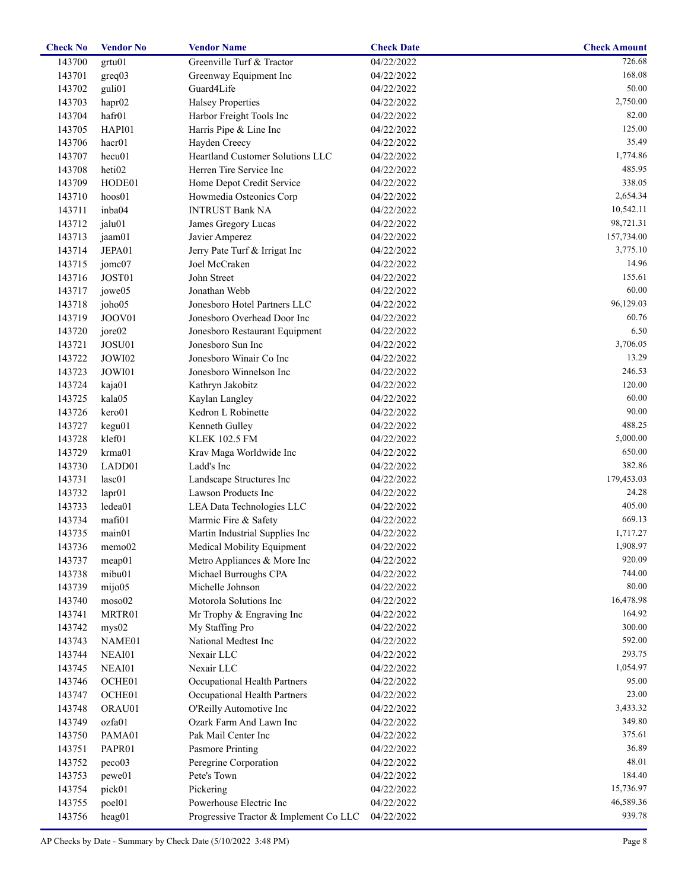| <b>Check No</b> | <b>Vendor No</b>   | <b>Vendor Name</b>                     | <b>Check Date</b> | <b>Check Amount</b> |
|-----------------|--------------------|----------------------------------------|-------------------|---------------------|
| 143700          | grtu01             | Greenville Turf & Tractor              | 04/22/2022        | 726.68              |
| 143701          | greq03             | Greenway Equipment Inc                 | 04/22/2022        | 168.08              |
| 143702          | guli <sub>01</sub> | Guard4Life                             | 04/22/2022        | 50.00               |
| 143703          | hapr <sub>02</sub> | <b>Halsey Properties</b>               | 04/22/2022        | 2,750.00            |
| 143704          | hafr01             | Harbor Freight Tools Inc               | 04/22/2022        | 82.00               |
| 143705          | HAPI01             | Harris Pipe & Line Inc                 | 04/22/2022        | 125.00              |
| 143706          | hacr <sub>01</sub> | Hayden Creecy                          | 04/22/2022        | 35.49               |
| 143707          | hecu01             | Heartland Customer Solutions LLC       | 04/22/2022        | 1,774.86            |
| 143708          | heti02             | Herren Tire Service Inc                | 04/22/2022        | 485.95              |
| 143709          | HODE01             | Home Depot Credit Service              | 04/22/2022        | 338.05              |
| 143710          | hoos01             | Howmedia Osteonics Corp                | 04/22/2022        | 2,654.34            |
| 143711          | inba04             | <b>INTRUST Bank NA</b>                 | 04/22/2022        | 10,542.11           |
| 143712          | jalu01             | James Gregory Lucas                    | 04/22/2022        | 98,721.31           |
| 143713          | jaam01             | Javier Amperez                         | 04/22/2022        | 157,734.00          |
| 143714          | JEPA01             | Jerry Pate Turf & Irrigat Inc          | 04/22/2022        | 3,775.10            |
| 143715          | jomc07             | Joel McCraken                          | 04/22/2022        | 14.96               |
| 143716          | JOST01             | John Street                            | 04/22/2022        | 155.61              |
| 143717          | jowe05             | Jonathan Webb                          | 04/22/2022        | 60.00               |
| 143718          | joho05             | Jonesboro Hotel Partners LLC           | 04/22/2022        | 96,129.03           |
| 143719          | JOOV01             | Jonesboro Overhead Door Inc            | 04/22/2022        | 60.76               |
| 143720          | jore02             | Jonesboro Restaurant Equipment         | 04/22/2022        | 6.50                |
| 143721          | JOSU01             | Jonesboro Sun Inc                      | 04/22/2022        | 3,706.05            |
| 143722          | JOWI02             | Jonesboro Winair Co Inc                | 04/22/2022        | 13.29               |
| 143723          | JOWI01             | Jonesboro Winnelson Inc                | 04/22/2022        | 246.53              |
| 143724          | kaja01             | Kathryn Jakobitz                       | 04/22/2022        | 120.00              |
| 143725          | kala05             | Kaylan Langley                         | 04/22/2022        | 60.00               |
| 143726          | kero01             | Kedron L Robinette                     | 04/22/2022        | 90.00               |
| 143727          |                    | Kenneth Gulley                         | 04/22/2022        | 488.25              |
| 143728          | kegu01<br>klef01   | <b>KLEK 102.5 FM</b>                   | 04/22/2022        | 5,000.00            |
|                 |                    |                                        |                   | 650.00              |
| 143729          | krma01             | Krav Maga Worldwide Inc<br>Ladd's Inc  | 04/22/2022        | 382.86              |
| 143730          | LADD01             |                                        | 04/22/2022        |                     |
| 143731          | lasc01             | Landscape Structures Inc               | 04/22/2022        | 179,453.03<br>24.28 |
| 143732          | lapr01             | Lawson Products Inc                    | 04/22/2022        | 405.00              |
| 143733          | ledea01            | LEA Data Technologies LLC              | 04/22/2022        |                     |
| 143734          | mafi01             | Marmic Fire & Safety                   | 04/22/2022        | 669.13              |
| 143735          | main01             | Martin Industrial Supplies Inc         | 04/22/2022        | 1,717.27            |
| 143736          | memo02             | Medical Mobility Equipment             | 04/22/2022        | 1,908.97            |
| 143737          | meap01             | Metro Appliances & More Inc            | 04/22/2022        | 920.09              |
| 143738          | mibu01             | Michael Burroughs CPA                  | 04/22/2022        | 744.00              |
| 143739          | mijo05             | Michelle Johnson                       | 04/22/2022        | 80.00               |
| 143740          | moso02             | Motorola Solutions Inc                 | 04/22/2022        | 16,478.98           |
| 143741          | MRTR01             | Mr Trophy & Engraving Inc              | 04/22/2022        | 164.92              |
| 143742          | mys02              | My Staffing Pro                        | 04/22/2022        | 300.00              |
| 143743          | NAME01             | National Medtest Inc                   | 04/22/2022        | 592.00              |
| 143744          | NEAI01             | Nexair LLC                             | 04/22/2022        | 293.75              |
| 143745          | NEAI01             | Nexair LLC                             | 04/22/2022        | 1,054.97            |
| 143746          | OCHE01             | Occupational Health Partners           | 04/22/2022        | 95.00               |
| 143747          | OCHE01             | Occupational Health Partners           | 04/22/2022        | 23.00               |
| 143748          | ORAU01             | O'Reilly Automotive Inc                | 04/22/2022        | 3,433.32            |
| 143749          | ozfa01             | Ozark Farm And Lawn Inc                | 04/22/2022        | 349.80              |
| 143750          | PAMA01             | Pak Mail Center Inc                    | 04/22/2022        | 375.61              |
| 143751          | PAPR01             | Pasmore Printing                       | 04/22/2022        | 36.89               |
| 143752          | peco <sub>03</sub> | Peregrine Corporation                  | 04/22/2022        | 48.01               |
| 143753          | pewe01             | Pete's Town                            | 04/22/2022        | 184.40              |
| 143754          | pick01             | Pickering                              | 04/22/2022        | 15,736.97           |
| 143755          | poel01             | Powerhouse Electric Inc                | 04/22/2022        | 46,589.36           |
| 143756          | heag01             | Progressive Tractor & Implement Co LLC | 04/22/2022        | 939.78              |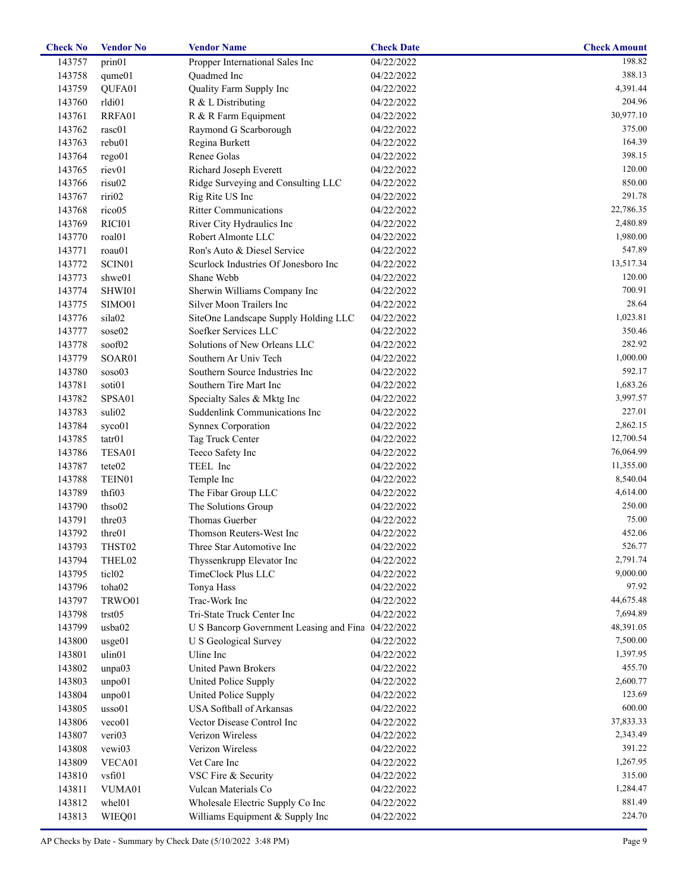| <b>Check No</b> | <b>Vendor No</b>   | <b>Vendor Name</b>                                 | <b>Check Date</b> | <b>Check Amount</b>   |
|-----------------|--------------------|----------------------------------------------------|-------------------|-----------------------|
| 143757          | prin01             | Propper International Sales Inc                    | 04/22/2022        | 198.82                |
| 143758          | qume01             | Quadmed Inc                                        | 04/22/2022        | 388.13                |
| 143759          | QUFA01             | Quality Farm Supply Inc                            | 04/22/2022        | 4,391.44              |
| 143760          | rldi01             | R & L Distributing                                 | 04/22/2022        | 204.96                |
| 143761          | RRFA01             | R & R Farm Equipment                               | 04/22/2022        | 30,977.10             |
| 143762          | rasc01             | Raymond G Scarborough                              | 04/22/2022        | 375.00                |
| 143763          | rebu01             | Regina Burkett                                     | 04/22/2022        | 164.39                |
| 143764          | rego01             | Renee Golas                                        | 04/22/2022        | 398.15                |
| 143765          | riev01             | Richard Joseph Everett                             | 04/22/2022        | 120.00                |
| 143766          | risu02             | Ridge Surveying and Consulting LLC                 | 04/22/2022        | 850.00                |
| 143767          | riri02             | Rig Rite US Inc                                    | 04/22/2022        | 291.78                |
| 143768          | rico05             | <b>Ritter Communications</b>                       | 04/22/2022        | 22,786.35             |
| 143769          | RICI01             | River City Hydraulics Inc                          | 04/22/2022        | 2,480.89              |
| 143770          | roal01             | Robert Almonte LLC                                 | 04/22/2022        | 1,980.00              |
| 143771          | roau01             | Ron's Auto & Diesel Service                        | 04/22/2022        | 547.89                |
| 143772          | SCIN01             | Scurlock Industries Of Jonesboro Inc               | 04/22/2022        | 13,517.34             |
| 143773          | shwe01             | Shane Webb                                         | 04/22/2022        | 120.00                |
| 143774          | SHWI01             | Sherwin Williams Company Inc                       | 04/22/2022        | 700.91                |
| 143775          | SIMO01             | Silver Moon Trailers Inc                           | 04/22/2022        | 28.64                 |
| 143776          | sila02             | SiteOne Landscape Supply Holding LLC               | 04/22/2022        | 1,023.81              |
| 143777          | sose02             | Soefker Services LLC                               | 04/22/2022        | 350.46                |
| 143778          | soof02             | Solutions of New Orleans LLC                       | 04/22/2022        | 282.92                |
| 143779          | SOAR01             | Southern Ar Univ Tech                              | 04/22/2022        | 1,000.00              |
| 143780          | soso03             | Southern Source Industries Inc                     | 04/22/2022        | 592.17                |
| 143781          | soti01             | Southern Tire Mart Inc                             | 04/22/2022        | 1,683.26              |
| 143782          | SPSA01             | Specialty Sales & Mktg Inc                         | 04/22/2022        | 3,997.57              |
| 143783          | suli02             | Suddenlink Communications Inc                      | 04/22/2022        | 227.01                |
| 143784          | syco01             | Synnex Corporation                                 | 04/22/2022        | 2,862.15              |
| 143785          | tatr01             | Tag Truck Center                                   | 04/22/2022        | 12,700.54             |
| 143786          | TESA01             | Teeco Safety Inc                                   | 04/22/2022        | 76,064.99             |
| 143787          | tete02             | TEEL Inc                                           | 04/22/2022        | 11,355.00             |
| 143788          | TEIN01             | Temple Inc                                         | 04/22/2022        | 8,540.04              |
| 143789          | thfi03             | The Fibar Group LLC                                | 04/22/2022        | 4,614.00              |
| 143790          | thso02             | The Solutions Group                                | 04/22/2022        | 250.00                |
| 143791          | thre03             | Thomas Guerber                                     | 04/22/2022        | 75.00                 |
| 143792          | thre01             | Thomson Reuters-West Inc                           | 04/22/2022        | 452.06                |
| 143793          | THST02             | Three Star Automotive Inc                          | 04/22/2022        | 526.77                |
| 143794          | THEL02             | Thyssenkrupp Elevator Inc                          | 04/22/2022        | 2,791.74              |
| 143795          | ticl <sub>02</sub> | TimeClock Plus LLC                                 | 04/22/2022        | 9,000.00              |
| 143796          | toha02             | Tonya Hass                                         | 04/22/2022        | 97.92                 |
| 143797          | TRWO01             | Trac-Work Inc                                      | 04/22/2022        | 44,675.48             |
| 143798          | trst05             | Tri-State Truck Center Inc                         | 04/22/2022        | 7,694.89              |
| 143799          | usba02             | U S Bancorp Government Leasing and Fina 04/22/2022 |                   | 48,391.05             |
| 143800          | usge01             | U S Geological Survey                              | 04/22/2022        | 7,500.00              |
| 143801          | ulin01             | Uline Inc                                          | 04/22/2022        | 1,397.95              |
| 143802          | unpa03             | United Pawn Brokers                                | 04/22/2022        | 455.70                |
| 143803          | unpo01             | United Police Supply                               | 04/22/2022        | 2,600.77              |
| 143804          | unpo01             | United Police Supply                               | 04/22/2022        | 123.69                |
| 143805          | usso01             | USA Softball of Arkansas                           | 04/22/2022        | 600.00                |
|                 |                    |                                                    |                   |                       |
| 143806          | veco01<br>veri03   | Vector Disease Control Inc<br>Verizon Wireless     | 04/22/2022        | 37,833.33<br>2,343.49 |
| 143807          |                    |                                                    | 04/22/2022        | 391.22                |
| 143808          | vewi03             | Verizon Wireless                                   | 04/22/2022        |                       |
| 143809          | VECA01             | Vet Care Inc                                       | 04/22/2022        | 1,267.95              |
| 143810          | vsfi01             | VSC Fire & Security                                | 04/22/2022        | 315.00                |
| 143811          | VUMA01             | Vulcan Materials Co                                | 04/22/2022        | 1,284.47              |
| 143812          | whel01             | Wholesale Electric Supply Co Inc                   | 04/22/2022        | 881.49                |
| 143813          | WIEQ01             | Williams Equipment & Supply Inc                    | 04/22/2022        | 224.70                |